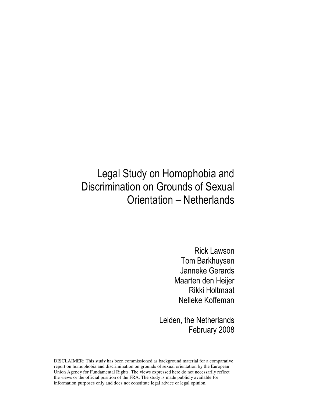# Legal Study on Homophobia and Discrimination on Grounds of Sexual Orientation – Netherlands

Rick Lawson Tom Barkhuysen Janneke Gerards Maarten den Heijer Rikki Holtmaat Nelleke Koffeman

Leiden, the Netherlands February 2008

DISCLAIMER: This study has been commissioned as background material for a comparative report on homophobia and discrimination on grounds of sexual orientation by the European Union Agency for Fundamental Rights. The views expressed here do not necessarily reflect the views or the official position of the FRA. The study is made publicly available for information purposes only and does not constitute legal advice or legal opinion.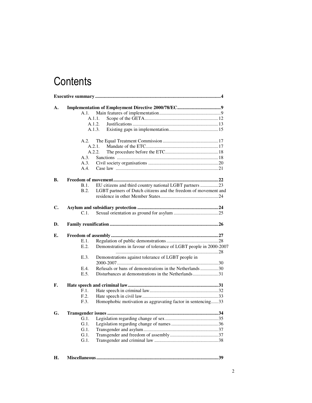# **Contents**

|    | A.1.            |        |                                                                   |  |  |
|----|-----------------|--------|-------------------------------------------------------------------|--|--|
|    |                 | A.1.1. |                                                                   |  |  |
|    |                 | A.1.2. |                                                                   |  |  |
|    |                 | A.1.3. |                                                                   |  |  |
|    | A.2.            |        |                                                                   |  |  |
|    |                 | A.2.1. |                                                                   |  |  |
|    |                 | A.2.2. |                                                                   |  |  |
|    | A.3.            |        |                                                                   |  |  |
|    | A.3.            |        |                                                                   |  |  |
|    | A.4.            |        |                                                                   |  |  |
| В. |                 |        |                                                                   |  |  |
|    | B.1.            |        | EU citizens and third country national LGBT partners 23           |  |  |
|    | B.2.            |        | LGBT partners of Dutch citizens and the freedom of movement and   |  |  |
|    |                 |        |                                                                   |  |  |
| C. |                 |        |                                                                   |  |  |
|    | C.1.            |        |                                                                   |  |  |
| D. |                 |        |                                                                   |  |  |
| Е. |                 |        |                                                                   |  |  |
|    | E.1.            |        |                                                                   |  |  |
|    | E.2.            |        | Demonstrations in favour of tolerance of LGBT people in 2000-2007 |  |  |
|    | E.3.            |        | Demonstrations against tolerance of LGBT people in                |  |  |
|    |                 |        |                                                                   |  |  |
|    | E.4.            |        | Refusals or bans of demonstrations in the Netherlands30           |  |  |
|    | E.5.            |        | Disturbances at demonstrations in the Netherlands31               |  |  |
|    |                 |        |                                                                   |  |  |
| F. |                 |        |                                                                   |  |  |
|    | F.1.<br>F.2.    |        |                                                                   |  |  |
|    | F.3.            |        | Homophobic motivation as aggravating factor in sentencing33       |  |  |
|    |                 |        |                                                                   |  |  |
| G. |                 |        |                                                                   |  |  |
|    | G.1.            |        |                                                                   |  |  |
|    | G.1.            |        |                                                                   |  |  |
|    | $G.1$ .         |        |                                                                   |  |  |
|    | G.1.<br>$G.1$ . |        |                                                                   |  |  |
|    |                 |        |                                                                   |  |  |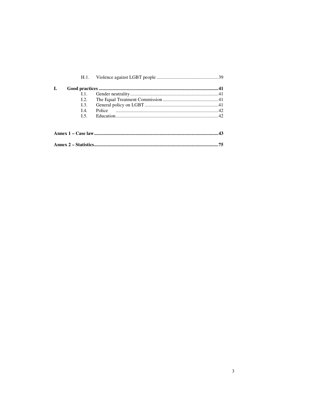| H.1.               |    |
|--------------------|----|
| L.                 |    |
| 1.1.               |    |
| L2.                |    |
| $\overline{1.3}$ . |    |
| I.4.               |    |
| $L$ 5.             |    |
|                    |    |
|                    |    |
|                    |    |
|                    | 75 |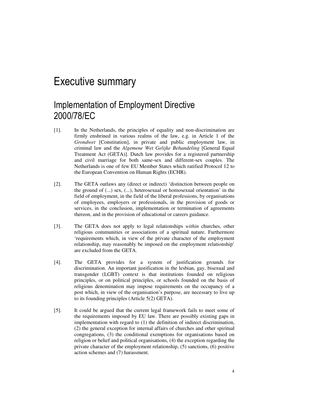## Executive summary

### Implementation of Employment Directive 2000/78/EC

- [1]. In the Netherlands, the principles of equality and non-discrimination are firmly enshrined in various realms of the law, e.g. in Article 1 of the *Grondwet* [Constitution], in private and public employment law, in criminal law and the *Algemene Wet Gelijke Behandeling* [General Equal Treatment Act (GETA)]. Dutch law provides for a registered partnership and civil marriage for both same-sex and different-sex couples. The Netherlands is one of few EU Member States which ratified Protocol 12 to the European Convention on Human Rights (ECHR).
- [2]. The GETA outlaws any (direct or indirect) 'distinction between people on the ground of (...) sex, (...), heterosexual or homosexual orientation' in the field of employment, in the field of the liberal professions, by organisations of employees, employers or professionals, in the provision of goods or services, in the conclusion, implementation or termination of agreements thereon, and in the provision of educational or careers guidance.
- [3]. The GETA does not apply to legal relationships *within* churches, other religious communities or associations of a spiritual nature. Furthermore 'requirements which, in view of the private character of the employment relationship, may reasonably be imposed on the employment relationship' are excluded from the GETA.
- [4]. The GETA provides for a system of justification grounds for discrimination. An important justification in the lesbian, gay, bisexual and transgender (LGBT) context is that institutions founded on religious principles, or on political principles, or schools founded on the basis of religious denomination may impose requirements on the occupancy of a post which, in view of the organisation's purpose, are necessary to live up to its founding principles (Article 5(2) GETA).
- [5]. It could be argued that the current legal framework fails to meet some of the requirements imposed by EU law. There are possibly existing gaps in implementation with regard to (1) the definition of indirect discrimination, (2) the general exception for internal affairs of churches and other spiritual congregations, (3) the conditional exemptions for organisations based on religion or belief and political organisations, (4) the exception regarding the private character of the employment relationship, (5) sanctions, (6) positive action schemes and (7) harassment.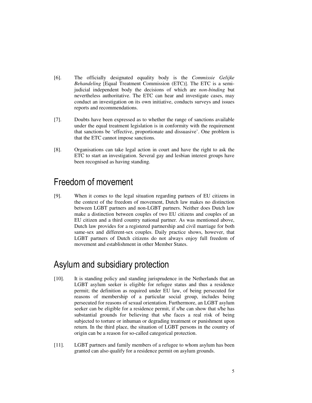- [6]. The officially designated equality body is the *Commissie Gelijke Behandeling* [Equal Treatment Commission (ETC)]. The ETC is a semijudicial independent body the decisions of which are *non-binding* but nevertheless authoritative. The ETC can hear and investigate cases, may conduct an investigation on its own initiative, conducts surveys and issues reports and recommendations.
- [7]. Doubts have been expressed as to whether the range of sanctions available under the equal treatment legislation is in conformity with the requirement that sanctions be 'effective, proportionate and dissuasive'. One problem is that the ETC cannot impose sanctions.
- [8]. Organisations can take legal action in court and have the right to ask the ETC to start an investigation. Several gay and lesbian interest groups have been recognised as having standing.

#### Freedom of movement

[9]. When it comes to the legal situation regarding partners of EU citizens in the context of the freedom of movement, Dutch law makes no distinction between LGBT partners and non-LGBT partners. Neither does Dutch law make a distinction between couples of two EU citizens and couples of an EU citizen and a third country national partner. As was mentioned above, Dutch law provides for a registered partnership and civil marriage for both same-sex and different-sex couples. Daily practice shows, however, that LGBT partners of Dutch citizens do not always enjoy full freedom of movement and establishment in other Member States.

### Asylum and subsidiary protection

- [10]. It is standing policy and standing jurisprudence in the Netherlands that an LGBT asylum seeker is eligible for refugee status and thus a residence permit; the definition as required under EU law, of being persecuted for reasons of membership of a particular social group, includes being persecuted for reasons of sexual orientation. Furthermore, an LGBT asylum seeker can be eligible for a residence permit, if s/he can show that s/he has substantial grounds for believing that s/he faces a real risk of being subjected to torture or inhuman or degrading treatment or punishment upon return. In the third place, the situation of LGBT persons in the country of origin can be a reason for so-called categorical protection.
- [11]. LGBT partners and family members of a refugee to whom asylum has been granted can also qualify for a residence permit on asylum grounds.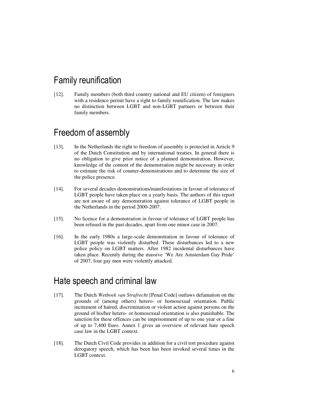#### Family reunification

[12]. Family members (both third country national and EU citizen) of foreigners with a residence permit have a right to family reunification. The law makes no distinction between LGBT and non-LGBT partners or between their family members.

#### Freedom of assembly

- [13]. In the Netherlands the right to freedom of assembly is protected in Article 9 of the Dutch Constitution and by international treaties. In general there is no obligation to give prior notice of a planned demonstration. However, knowledge of the content of the demonstration might be necessary in order to estimate the risk of counter-demonstrations and to determine the size of the police presence.
- [14]. For several decades demonstrations/manifestations in favour of tolerance of LGBT people have taken place on a yearly basis. The authors of this report are not aware of any demonstration against tolerance of LGBT people in the Netherlands in the period 2000-2007.
- [15]. No licence for a demonstration in favour of tolerance of LGBT people has been refused in the past decades, apart from one minor case in 2007.
- [16]. In the early 1980s a large-scale demonstration in favour of tolerance of LGBT people was violently disturbed. These disturbances led to a new police policy on LGBT matters. After 1982 incidental disturbances have taken place. Recently during the massive 'We Are Amsterdam Gay Pride' of 2007, four gay men were violently attacked.

#### Hate speech and criminal law

- [17]. The Dutch *Wetboek van Strafrecht* [Penal Code] outlaws defamation on the grounds of (among others) hetero- or homosexual orientation. Public incitement of hatred, discrimination or violent action against persons on the ground of his/her hetero- or homosexual orientation is also punishable. The sanction for these offences can be imprisonment of up to one year or a fine of up to 7,400 Euro. Annex 1 gives an overview of relevant hate speech case law in the LGBT context.
- [18]. The Dutch Civil Code provides in addition for a civil tort procedure against derogatory speech, which has been has been invoked several times in the LGBT context.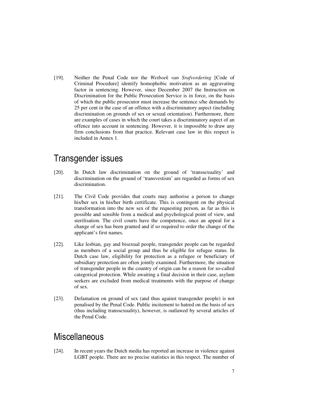[19]. Neither the Penal Code nor the *Wetboek van Srafvordering* [Code of Criminal Procedure] identify homophobic motivation as an aggravating factor in sentencing. However, since December 2007 the Instruction on Discrimination for the Public Prosecution Service is in force, on the basis of which the public prosecutor must increase the sentence s/he demands by 25 per cent in the case of an offence with a discriminatory aspect (including discrimination on grounds of sex or sexual orientation). Furthermore, there are examples of cases in which the court takes a discriminatory aspect of an offence into account in sentencing. However, it is impossible to draw any firm conclusions from that practice. Relevant case law in this respect is included in Annex 1.

#### Transgender issues

- [20]. In Dutch law discrimination on the ground of 'transsexuality' and discrimination on the ground of 'transvestism' are regarded as forms of sex discrimination.
- [21]. The Civil Code provides that courts may authorise a person to change his/her sex in his/her birth certificate. This is contingent on the physical transformation into the new sex of the requesting person, as far as this is possible and sensible from a medical and psychological point of view, and sterilisation. The civil courts have the competence, once an appeal for a change of sex has been granted and if so required to order the change of the applicant's first names.
- [22]. Like lesbian, gay and bisexual people, transgender people can be regarded as members of a social group and thus be eligible for refugee status. In Dutch case law, eligibility for protection as a refugee or beneficiary of subsidiary protection are often jointly examined. Furthermore, the situation of transgender people in the country of origin can be a reason for so-called categorical protection. While awaiting a final decision in their case, asylum seekers are excluded from medical treatments with the purpose of change of sex.
- [23]. Defamation on ground of sex (and thus against transgender people) is not penalised by the Penal Code. Public incitement to hatred on the basis of sex (thus including transsexuality), however, is outlawed by several articles of the Penal Code.

#### **Miscellaneous**

[24]. In recent years the Dutch media has reported an increase in violence against LGBT people. There are no precise statistics in this respect. The number of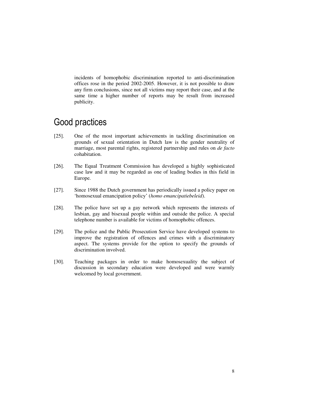incidents of homophobic discrimination reported to anti-discrimination offices rose in the period 2002-2005. However, it is not possible to draw any firm conclusions, since not all victims may report their case, and at the same time a higher number of reports may be result from increased publicity.

#### Good practices

- [25]. One of the most important achievements in tackling discrimination on grounds of sexual orientation in Dutch law is the gender neutrality of marriage, most parental rights, registered partnership and rules on *de facto* cohabitation.
- [26]. The Equal Treatment Commission has developed a highly sophisticated case law and it may be regarded as one of leading bodies in this field in Europe.
- [27]. Since 1988 the Dutch government has periodically issued a policy paper on 'homosexual emancipation policy' (*homo emancipatiebeleid*).
- [28]. The police have set up a gay network which represents the interests of lesbian, gay and bisexual people within and outside the police. A special telephone number is available for victims of homophobic offences.
- [29]. The police and the Public Prosecution Service have developed systems to improve the registration of offences and crimes with a discriminatory aspect. The systems provide for the option to specify the grounds of discrimination involved.
- [30]. Teaching packages in order to make homosexuality the subject of discussion in secondary education were developed and were warmly welcomed by local government.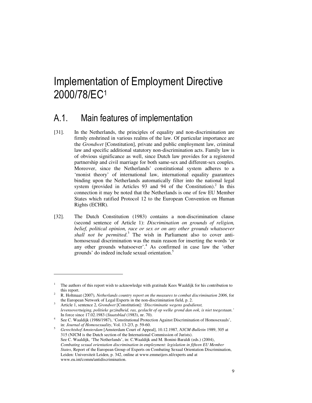# Implementation of Employment Directive 2000/78/EC<sup>1</sup>

#### A.1. Main features of implementation

- [31]. In the Netherlands, the principles of equality and non-discrimination are firmly enshrined in various realms of the law. Of particular importance are the *Grondwet* [Constitution], private and public employment law, criminal law and specific additional statutory non-discrimination acts. Family law is of obvious significance as well, since Dutch law provides for a registered partnership and civil marriage for both same-sex and different-sex couples. Moreover, since the Netherlands' constitutional system adheres to a 'monist theory' of international law, international equality guarantees binding upon the Netherlands automatically filter into the national legal system (provided in Articles 93 and 94 of the Constitution).<sup>2</sup> In this connection it may be noted that the Netherlands is one of few EU Member States which ratified Protocol 12 to the European Convention on Human Rights (ECHR).
- [32]. The Dutch Constitution (1983) contains a non-discrimination clause (second sentence of Article 1): *Discrimination on grounds of religion, belief, political opinion, race or sex or on any other grounds whatsoever shall not be permitted*. 3 The wish in Parliament also to cover antihomosexual discrimination was the main reason for inserting the words 'or any other grounds whatsoever'.<sup>4</sup> As confirmed in case law the 'other grounds' do indeed include sexual orientation.<sup>5</sup>

<sup>1</sup> The authors of this report wish to acknowledge with gratitude Kees Waaldijk for his contribution to this report.

<sup>2</sup> R. Holtmaat (2007)*, Netherlands country report on the measures to combat discrimination 2006*, for the European Network of Legal Experts in the non-discrimination field, p. 2.

<sup>3</sup> Article 1, sentence 2, *Grondwet* [Constitution]: *'Discriminatie wegens godsdienst, levensovertuiging, politieke gezindheid, ras, geslacht of op welke grond dan ook, is niet toegestaan.'* In force since 17.02.1983 (*Staatsblad* (1983), nr. 70).

<sup>4</sup> See C. Waaldijk (1986/1987), 'Constitutional Protection Against Discrimination of Homosexuals', in: *Journal of Homosexuality*, Vol. 13-2/3, p. 59-60.

<sup>5</sup> *Gerechtshof Amsterdam* [Amsterdam Court of Appeal], 10.12.1987, *NJCM-Bulletin* 1989, 305 at 315 (NJCM is the Dutch section of the International Commission of Jurists). See C. Waaldijk, 'The Netherlands', in: C.Waaldijk and M. Bonini-Baraldi (eds.) (2004), *Combating sexual orientation discrimination in employment: legislation in fifteen EU Member States*, Report of the European Group of Experts on Combating Sexual Orientation Discrimination, Leiden: Universiteit Leiden, p. 342, online at www.emmeijers.nl/experts and at www.eu.int/comm/antidiscrimination.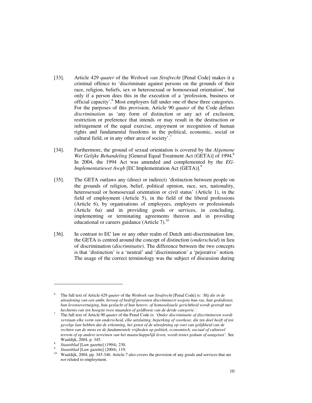- [33]. Article 429 *quater* of the *Wetboek van Strafrecht* [Penal Code] makes it a criminal offence to 'discriminate against persons on the grounds of their race, religion, beliefs, sex or heterosexual or homosexual orientation', but only if a person does this in the execution of a 'profession, business or official capacity'.<sup>6</sup> Most employers fall under one of these three categories. For the purposes of this provision, Article 90 *quater* of the Code defines *discrimination* as 'any form of distinction or any act of exclusion, restriction or preference that intends or may result in the destruction or infringement of the equal exercise, enjoyment or recognition of human rights and fundamental freedoms in the political, economic, social or cultural field, or in any other area of society'.
- [34]. Furthermore, the ground of sexual orientation is covered by the *Algemene Wet Gelijke Behandeling* [General Equal Treatment Act (GETA)] of 1994.<sup>8</sup> In 2004, the 1994 Act was amended and complemented by the *EG-Implementatiewet Awgb* [EC Implementation Act (GETA)].<sup>9</sup>
- [35]. The GETA outlaws any (direct or indirect) 'distinction between people on the grounds of religion, belief, political opinion, race, sex, nationality, heterosexual or homosexual orientation or civil status' (Article 1), in the field of employment (Article 5), in the field of the liberal professions (Article 6), by organisations of employees, employers or professionals (Article 6a) and in providing goods or services, in concluding, implementing or terminating agreements thereon and in providing educational or careers guidance (Article 7). $^{10}$
- [36]. In contrast to EC law or any other realm of Dutch anti-discrimination law, the GETA is centred around the concept of distinction (*onderscheid*) in lieu of discrimination (*discriminatie*). The difference between the two concepts is that 'distinction' is a 'neutral' and 'discrimination' a 'pejorative' notion. The usage of the correct terminology was the subject of discussion during

<sup>6</sup> The full text of Article 429 *quater* of the *Wetboek van Strafrecht* [Penal Code] is: *'Hij die in de uitoefening van een ambt, beroep of bedrijf personen discrimineert wegens hun ras, hun godsdienst, hun levensovertuiging, hun geslacht of hun hetero- of homoseksuele gerichtheid wordt gestraft met hechtenis van ten hoogste twee maanden of geldboete van de derde categorie.'*.

<sup>7</sup> The full text of Article 90 *quater* of the Penal Code is: *'Onder discriminatie of discrimineren wordt verstaan elke vorm van onderscheid, elke uitsluiting, beperking of voorkeur, die ten doel heeft of ten gevolge kan hebben dat de erkenning, het genot of de uitoefening op voet van gelijkheid van de rechten van de mens en de fundamentele vrijheden op politiek, economisch, sociaal of cultureel terrein of op andere terreinen van het maatschappelijk leven, wordt teniet gedaan of aangetast'.* See Waaldijk, 2004, p. 345.

<sup>8</sup> *Staatsblad* [Law gazette] (1994)*,* 230.

<sup>9</sup> *Staatsblad* [Law gazette] (2004), 119.

<sup>10</sup> Waaldijk, 2004, pp. 345-346. Article 7 also covers the provision of any goods and services that are *not* related to employment.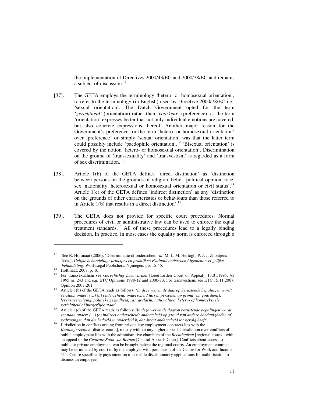the implementation of Directives 2000/43/EC and 2000/78/EC and remains a subject of discussion.<sup>11</sup>

- [37]. The GETA employs the terminology 'hetero- or homosexual orientation'*,*  to refer to the terminology (in English) used by Directive 2000/78/EC i.e., 'sexual orientation'. The Dutch Government opted for the term *'gerichtheid'* (orientation) rather than *'voorkeur'* (preference), as the term 'orientation' expresses better that not only individual emotions are covered, but also concrete expressions thereof. Another major reason for the Government's preference for the term 'hetero- or homosexual orientation' over 'preference' or simply 'sexual orientation' was that the latter term could possibly include 'paedophile orientation'.<sup>12</sup> 'Bisexual orientation' is covered by the notion 'hetero- or homosexual orientation'. Discrimination on the ground of 'transsexuality' and 'transvestism' is regarded as a form of sex discrimination.<sup>13</sup>
- [38]. Article 1(b) of the GETA defines 'direct distinction' as 'distinction between persons on the grounds of religion, belief, political opinion, race, sex, nationality, heterosexual or homosexual orientation or civil status'.<sup>14</sup> Article 1(c) of the GETA defines 'indirect distinction' as any 'distinction on the grounds of other characteristics or behaviours than those referred to in Article  $1(b)$  that results in a direct distinction'.<sup>15</sup>
- [39]. The GETA does not provide for specific court procedures. Normal procedures of civil or administrative law can be used to enforce the equal treatment standards.<sup>16</sup> All of these procedures lead to a legally binding decision. In practice, in most cases the equality norm is enforced through a

<sup>11</sup> See R. Holtmaat (2006), 'Discriminatie of onderscheid' *in*: M. L. M. Hertogh, P. J. J. Zoontjens (eds.)**,** *Gelijke behandeling: principes en praktijken Evaluatieonderzoek Algemene wet gelijke behandeling*, Wolf Legal Publishers, Nijmegen, pp. 15-45.

<sup>12</sup> Holtmaat, 2007, p. 16.

<sup>13</sup> For transsexualism see *Gerechtshof Leeuwarden* [Leeuwarden Court of Appeal], 13.01.1995, *NJ*  1995 nr. 243 and e.g. ETC Opinions 1998-12 and 2000-73. For transvestism, see ETC 15.11.2007, Opinion 2007-201.

<sup>14</sup> Article 1(b) of the GETA reads as follows: *'In deze wet en de daarop berustende bepalingen wordt verstaan onder: (…) (b) onderscheid: onderscheid tussen personen op grond van godsdienst, levensovertuiging, politieke gezindheid, ras, geslacht, nationaliteit, hetero- of homoseksuele gerichtheid of burgerlijke staat'.*

<sup>15</sup> Article 1(c) of the GETA reads as follows: *'In deze wet en de daarop berustende bepalingen wordt verstaan onder: (…) (c) indirect onderscheid: onderscheid op grond van andere hoedanigheden of gedragingen dan die bedoeld in onderdeel b, dat direct onderscheid tot gevolg heeft'.*

<sup>&</sup>lt;sup>16</sup> Jurisdiction in conflicts arising from private law employment contracts lies with the *Kantongerechten* [district courts], mostly without any higher appeal. Jurisdiction over conflicts of public employment lies with the administrative chambers of the *Rechtbanken* [regional courts], with an appeal to the *Centrale Raad van Beroep* [Central Appeals Court]. Conflicts about access to public or private employment can be brought before the regional courts. An employment contract may be terminated by court or by the employer with permission of the Centre for Work and Income. This Centre specifically pays attention to possible discriminatory applications for authorisation to dismiss an employee.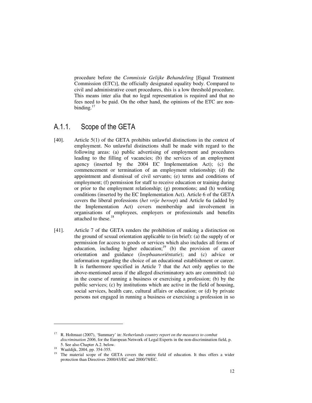procedure before the *Commissie Gelijke Behandeling* [Equal Treatment Commission (ETC)], the officially designated equality body. Compared to civil and administrative court procedures, this is a low threshold procedure. This means inter alia that no legal representation is required and that no fees need to be paid. On the other hand, the opinions of the ETC are nonbinding.<sup>17</sup>

#### A.1.1. Scope of the GETA

- [40]. Article 5(1) of the GETA prohibits unlawful distinctions in the context of employment. No unlawful distinctions shall be made with regard to the following areas: (a) public advertising of employment and procedures leading to the filling of vacancies; (b) the services of an employment agency (inserted by the 2004 EC Implementation Act); (c) the commencement or termination of an employment relationship; (d) the appointment and dismissal of civil servants; (e) terms and conditions of employment; (f) permission for staff to receive education or training during or prior to the employment relationship; (g) promotions; and (h) working conditions (inserted by the EC Implementation Act). Article 6 of the GETA covers the liberal professions (*het vrije beroep*) and Article 6a (added by the Implementation Act) covers membership and involvement in organisations of employees, employers or professionals and benefits attached to these.<sup>18</sup>
- [41]. Article 7 of the GETA renders the prohibition of making a distinction on the ground of sexual orientation applicable to (in brief): (a) the supply of or permission for access to goods or services which also includes all forms of education, including higher education; $19$  (b) the provision of career orientation and guidance (*loopbaanoriëntatie*); and (c) advice or information regarding the choice of an educational establishment or career. It is furthermore specified in Article 7 that the Act only applies to the above-mentioned areas if the alleged discriminatory acts are committed: (a) in the course of running a business or exercising a profession; (b) by the public services; (c) by institutions which are active in the field of housing, social services, health care, cultural affairs or education; or (d) by private persons not engaged in running a business or exercising a profession in so

<sup>17</sup> R. Holtmaat (2007), 'Summary' in: *Netherlands country report on the measures to combat discrimination 2006*, for the European Network of Legal Experts in the non-discrimination field, p. 5. See also Chapter A.2. below.

<sup>18</sup> Waaldijk, 2004, pp. 354-355.

<sup>&</sup>lt;sup>19</sup> The material scope of the GETA covers the entire field of education. It thus offers a wider protection than Directives 2000/43/EC and 2000/78/EC.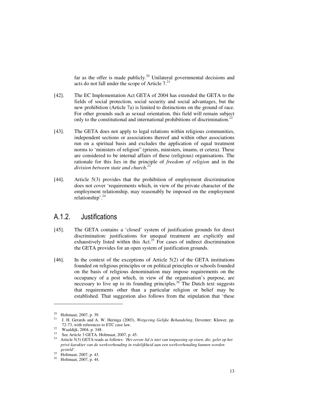far as the offer is made publicly.<sup>20</sup> Unilateral governmental decisions and acts do not fall under the scope of Article  $7<sup>21</sup>$ 

- [42]. The EC Implementation Act GETA of 2004 has extended the GETA to the fields of social protection, social security and social advantages, but the new prohibition (Article 7a) is limited to distinctions on the ground of race. For other grounds such as sexual orientation, this field will remain subject only to the constitutional and international prohibitions of discrimination.<sup>22</sup>
- [43]. The GETA does not apply to legal relations within religious communities, independent sections or associations thereof and within other associations run on a spiritual basis and excludes the application of equal treatment norms to 'ministers of religion" (priests, ministers, imams, et cetera). These are considered to be internal affairs of these (religious) organisations. The rationale for this lies in the principle of *freedom of religion* and in the *division between state and church*. 23
- [44]. Article 5(3) provides that the prohibition of employment discrimination does not cover 'requirements which, in view of the private character of the employment relationship, may reasonably be imposed on the employment relationship'.<sup>24</sup>

#### A.1.2. Justifications

- [45]. The GETA contains a 'closed' system of justification grounds for direct discrimination: justifications for unequal treatment are explicitly and exhaustively listed within this Act.<sup>25</sup> For cases of indirect discrimination the GETA provides for an open system of justification grounds.
- [46]. In the context of the exceptions of Article 5(2) of the GETA institutions founded on religious principles or on political principles or schools founded on the basis of religious denomination may impose requirements on the occupancy of a post which, in view of the organisation's purpose, are necessary to live up to its founding principles.<sup>26</sup> The Dutch text suggests that requirements other than a particular religion or belief may be established. That suggestion also follows from the stipulation that 'these

<sup>&</sup>lt;sup>20</sup> Holtmaat, 2007, p. 39.

<sup>21</sup> J. H. Gerards and A. W. Heringa (2003), *Wetgeving Gelijke Behandeling*, Deventer: Kluwer, pp. 72-73, with references to ETC case law.

<sup>&</sup>lt;sup>22</sup> Waaldijk, 2004, p. 348.

<sup>&</sup>lt;sup>23</sup> See Article 3 GETA. Holtmaat, 2007, p. 45.<br><sup>24</sup> Article 5(3) GETA reads as follows: *Het* ass

<sup>24</sup> Article 5(3) GETA reads as follows: *'Het eerste lid is niet van toepassing op eisen, die, gelet op het privé-karakter van de werkverhouding in redelijkheid aan een werkverhouding kunnen worden gesteld'.*

 $^{25}$  Holtmaat, 2007, p. 43.

<sup>26</sup> Holtmaat, 2007, p. 44.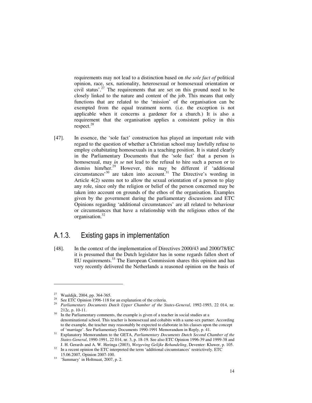requirements may not lead to a distinction based on *the sole fact of* political opinion, race, sex, nationality, heterosexual or homosexual orientation or civil status'.<sup>27</sup> The requirements that are set on this ground need to be closely linked to the nature and content of the job. This means that only functions that are related to the 'mission' of the organisation can be exempted from the equal treatment norm. (i.e. the exception is not applicable when it concerns a gardener for a church.) It is also a requirement that the organisation applies a consistent policy in this respect.<sup>28</sup>

[47]. In essence, the 'sole fact' construction has played an important role with regard to the question of whether a Christian school may lawfully refuse to employ cohabitating homosexuals in a teaching position. It is stated clearly in the Parliamentary Documents that the 'sole fact' that a person is homosexual, may *in se* not lead to the refusal to hire such a person or to dismiss him/her.<sup>29</sup> However, this may be different if 'additional circumstances'<sup>30</sup> are taken into account.<sup>31</sup> The Directive's wording in Article 4(2) seems not to allow the sexual orientation of a person to play any role, since only the religion or belief of the person concerned may be taken into account on grounds of the ethos of the organisation. Examples given by the government during the parliamentary discussions and ETC Opinions regarding 'additional circumstances' are all related to behaviour or circumstances that have a relationship with the religious ethos of the organisation.<sup>32</sup>

#### A.1.3. Existing gaps in implementation

[48]. In the context of the implementation of Directives 2000/43 and 2000/78/EC it is presumed that the Dutch legislator has in some regards fallen short of EU requirements.<sup>33</sup> The European Commission shares this opinion and has very recently delivered the Netherlands a reasoned opinion on the basis of

<sup>27</sup> Waaldijk, 2004, pp. 364-365.

<sup>&</sup>lt;sup>28</sup> See ETC Opinion 1996-118 for an explanation of the criteria.

<sup>29</sup> *Parliamentary Documents Dutch Upper Chamber of the States-General*, 1992-1993, 22 014, nr. 212c, p. 10-11.

<sup>&</sup>lt;sup>30</sup> In the Parliamentary comments, the example is given of a teacher in social studies at a denominational school. This teacher is homosexual and cohabits with a same-sex partner. According to the example, the teacher may reasonably be expected to elaborate in his classes upon the concept of 'marriage'. See Parliamentary Documents 1990-1991 Memorandum in Reply, p. 41.

<sup>31</sup> Explanatory Memorandum to the GETA, *Parliamentary Documents Dutch Second Chamber of the States-General*, 1990-1991, 22 014, nr. 3, p. 18-19. See also ETC Opinion 1996-39 and 1999-38 and J. H. Gerards and A. W. Heringa (2003), *Wetgeving Gelijke Behandeling*, Deventer: Kluwer, p. 105.

<sup>&</sup>lt;sup>32</sup> In a recent opinion the ETC interpreted the term 'additional circumstances' restrictively. ETC

<sup>15.06.2007,</sup> Opinion 2007-100. <sup>33</sup> 'Summary' in Holtmaat, 2007, p. 2.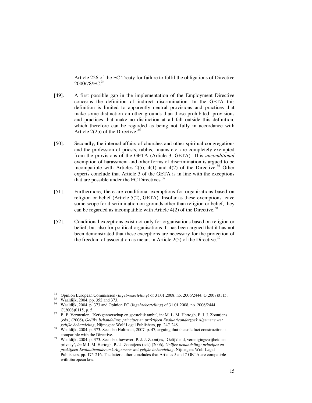Article 226 of the EC Treaty for failure to fulfil the obligations of Directive 2000/78/EC.<sup>34</sup>

- [49]. A first possible gap in the implementation of the Employment Directive concerns the definition of indirect discrimination. In the GETA this definition is limited to apparently neutral provisions and practices that make some distinction on other grounds than those prohibited; provisions and practices that make no distinction at all fall outside this definition, which therefore can be regarded as being not fully in accordance with Article  $2(2b)$  of the Directive.<sup>35</sup>
- [50]. Secondly, the internal affairs of churches and other spiritual congregations and the profession of priests, rabbis, imams etc. are completely exempted from the provisions of the GETA (Article 3, GETA). This *unconditional* exemption of harassment and other forms of discrimination is argued to be incompatible with Articles  $2(5)$ ,  $4(1)$  and  $4(2)$  of the Directive.<sup>36</sup> Other experts conclude that Article 3 of the GETA is in line with the exceptions that are possible under the EC Directives. $37$
- [51]. Furthermore, there are conditional exemptions for organisations based on religion or belief (Article 5(2), GETA). Insofar as these exemptions leave some scope for discrimination on grounds other than religion or belief, they can be regarded as incompatible with Article  $4(2)$  of the Directive.<sup>38</sup>
- [52]. Conditional exceptions exist not only for organisations based on religion or belief, but also for political organisations. It has been argued that it has not been demonstrated that these exceptions are necessary for the protection of the freedom of association as meant in Article  $2(5)$  of the Directive.<sup>39</sup>

<sup>&</sup>lt;sup>34</sup> Opinion European Commission (*Ingebrekestelling*) of 31.01.2008, no. 2006/2444, C(2008)0115.

Waaldijk, 2004, pp. 352 and 373.

<sup>36</sup> Waaldijk, 2004, p. 373 and Opinion EC (*Ingebrekestelling*) of 31.01.2008, no. 2006/2444, C(2008)0115, p. 5.

<sup>&</sup>lt;sup>37</sup> B. P. Vermeulen, 'Kerkgenootschap en geestelijk ambt', in: M. L. M. Hertogh, P. J. J. Zoontjens (eds.) (2006)**,** *Gelijke behandeling: principes en praktijken Evaluatieonderzoek Algemene wet gelijke behandeling*, Nijmegen: Wolf Legal Publishers, pp. 247-248.

<sup>&</sup>lt;sup>38</sup> Waaldijk, 2004, p. 373. See also Holtmaat, 2007, p. 47, arguing that the sole fact construction is compatible with the Directive.

<sup>39</sup> Waaldijk, 2004, p. 373. See also, however, P. J. J. Zoontjes, 'Gelijkheid, verenigingsvrijheid en privacy', *in*: M.L.M. Hertogh, P.J.J. Zoontjens (eds) (2006)**,** *Gelijke behandeling: principes en praktijken Evaluatieonderzoek Algemene wet gelijke behandeling*, Nijmegen: Wolf Legal Publishers, pp. 175-216. The latter author concludes that Articles 5 and 7 GETA are compatible with European law.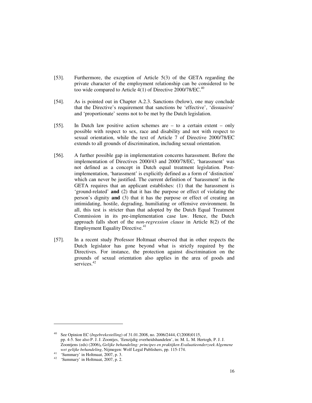- [53]. Furthermore, the exception of Article 5(3) of the GETA regarding the private character of the employment relationship can be considered to be too wide compared to Article  $4(1)$  of Directive 2000/78/EC.<sup>40</sup>
- [54]. As is pointed out in Chapter A.2.3. Sanctions (below), one may conclude that the Directive's requirement that sanctions be 'effective', 'dissuasive' and 'proportionate' seems not to be met by the Dutch legislation.
- [55]. In Dutch law positive action schemes are to a certain extent only possible with respect to sex, race and disability and not with respect to sexual orientation, while the text of Article 7 of Directive 2000/78/EC extends to all grounds of discrimination, including sexual orientation.
- [56]. A further possible gap in implementation concerns harassment. Before the implementation of Directives 2000/43 and 2000/78/EC, 'harassment' was not defined as a concept in Dutch equal treatment legislation. Postimplementation, 'harassment' is explicitly defined as a form of 'distinction' which can never be justified. The current definition of 'harassment' in the GETA requires that an applicant establishes: (1) that the harassment is 'ground-related' **and** (2) that it has the purpose or effect of violating the person's dignity **and** (3) that it has the purpose or effect of creating an intimidating, hostile, degrading, humiliating or offensive environment. In all, this test is stricter than that adopted by the Dutch Equal Treatment Commission in its pre-implementation case law. Hence, the Dutch approach falls short of the *non-regression clause* in Article 8(2) of the Employment Equality Directive.<sup>41</sup>
- [57]. In a recent study Professor Holtmaat observed that in other respects the Dutch legislator has gone beyond what is strictly required by the Directives. For instance, the protection against discrimination on the grounds of sexual orientation also applies in the area of goods and services.<sup>42</sup>

<sup>40</sup> See Opinion EC (*Ingebrekestelling*) of 31.01.2008, no. 2006/2444, C(2008)0115, pp. 4-5. See also P. J. J. Zoontjes, 'Eenzijdig overheidshandelen', in: M. L. M. Hertogh, P. J. J. Zoontjens (eds) (2006)**,** *Gelijke behandeling: principes en praktijken Evaluatieonderzoek Algemene wet gelijke behandeling*, Nijmegen: Wolf Legal Publishers, pp. 115-174.

<sup>41</sup> 'Summary' in Holtmaat, 2007, p. 3.

<sup>42</sup> 'Summary' in Holtmaat, 2007, p. 2.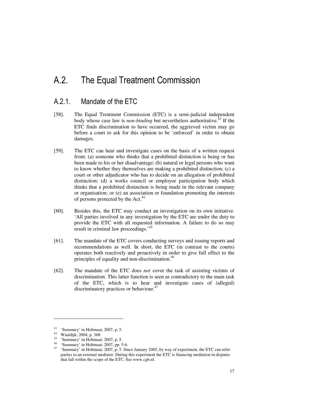### A.2. The Equal Treatment Commission

#### A.2.1. Mandate of the ETC

- [58]. The Equal Treatment Commission (ETC) is a semi-judicial independent body whose case law is *non-binding* but nevertheless authoritative.<sup>43</sup> If the ETC finds discrimination to have occurred, the aggrieved victim may go before a court to ask for this opinion to be 'enforced' in order to obtain damages.
- [59]. The ETC can hear and investigate cases on the basis of a written request from: (a) someone who thinks that a prohibited distinction is being or has been made to his or her disadvantage; (b) natural or legal persons who want to know whether they themselves are making a prohibited distinction; (c) a court or other adjudicator who has to decide on an allegation of prohibited distinction; (d) a works council or employee participation body which thinks that a prohibited distinction is being made in the relevant company or organisation; or (e) an association or foundation promoting the interests of persons protected by the Act.<sup>44</sup>
- [60]. Besides this, the ETC may conduct an investigation on its own initiative. 'All parties involved in any investigation by the ETC are under the duty to provide the ETC with all requested information. A failure to do so may result in criminal law proceedings.<sup>45</sup>
- [61]. The mandate of the ETC covers conducting surveys and issuing reports and recommendations as well. In short, the ETC (in contrast to the courts) operates both reactively and proactively in order to give full effect to the principles of equality and non-discrimination.<sup>46</sup>
- [62]. The mandate of the ETC does *not* cover the task of assisting victims of discrimination. This latter function is seen as contradictory to the main task of the ETC, which is to hear and investigate cases of (alleged) discriminatory practices or behaviour.<sup>47</sup>

<sup>43</sup> 'Summary' in Holtmaat, 2007, p. 5.

<sup>44</sup> Waaldijk, 2004, p. 368.

<sup>45</sup> 'Summary' in Holtmaat, 2007, p. 5.

<sup>46</sup> 'Summary' in Holtmaat, 2007, pp. 5-6.

<sup>&</sup>lt;sup>47</sup> 'Summary' in Holtmaat, 2007, p. 5. Since January 2005, by way of experiment, the ETC can refer parties to an external mediator. During this experiment the ETC is financing mediation in disputes that fall within the scope of the ETC. See www.cgb.nl.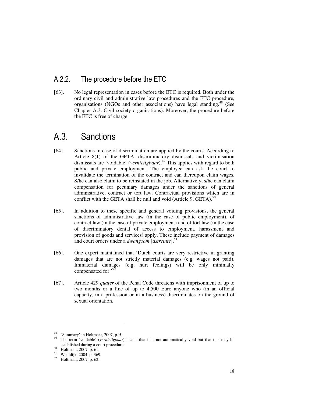#### A.2.2. The procedure before the ETC

[63]. No legal representation in cases before the ETC is required. Both under the ordinary civil and administrative law procedures and the ETC procedure, organisations (NGOs and other associations) have legal standing.<sup>48</sup> (See Chapter A.3. Civil society organisations). Moreover, the procedure before the ETC is free of charge.

#### A.3. Sanctions

- [64]. Sanctions in case of discrimination are applied by the courts. According to Article 8(1) of the GETA, discriminatory dismissals and victimisation dismissals are 'voidable' (*vernietigbaar*).<sup>49</sup> This applies with regard to both public and private employment. The employee can ask the court to invalidate the termination of the contract and can thereupon claim wages. S/he can also claim to be reinstated in the job. Alternatively, s/he can claim compensation for pecuniary damages under the sanctions of general administrative, contract or tort law. Contractual provisions which are in conflict with the GETA shall be null and void (Article 9, GETA).<sup>50</sup>
- [65]. In addition to these specific and general voiding provisions, the general sanctions of administrative law (in the case of public employment), of contract law (in the case of private employment) and of tort law (in the case of discriminatory denial of access to employment, harassment and provision of goods and services) apply. These include payment of damages and court orders under a *dwangsom* [*astreinte*].<sup>51</sup>
- [66]. One expert maintained that 'Dutch courts are very restrictive in granting damages that are not strictly material damages (e.g. wages not paid). Immaterial damages (e.g. hurt feelings) will be only minimally compensated for.<sup>52</sup>
- [67]. Article 429 *quater* of the Penal Code threatens with imprisonment of up to two months or a fine of up to 4,500 Euro anyone who (in an official capacity, in a profession or in a business) discriminates on the ground of sexual orientation.

<sup>&</sup>lt;sup>48</sup> 'Summary' in Holtmaat, 2007, p. 5.<br><sup>49</sup> The term 'woideble' (vermistichers)

<sup>49</sup> The term 'voidable' (*vernietigbaar*) means that it is not automatically void but that this may be established during a court procedure.

 $^{50}$  Holtmaat, 2007, p. 61.

Waaldijk, 2004, p. 369.

<sup>52</sup> Holtmaat, 2007, p. 62.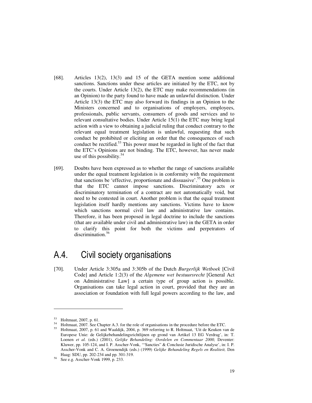- [68]. Articles 13(2), 13(3) and 15 of the GETA mention some additional sanctions. Sanctions under these articles are initiated by the ETC, not by the courts. Under Article 13(2), the ETC may make recommendations (in an Opinion) to the party found to have made an unlawful distinction. Under Article 13(3) the ETC may also forward its findings in an Opinion to the Ministers concerned and to organisations of employers, employees, professionals, public servants, consumers of goods and services and to relevant consultative bodies. Under Article 15(1) the ETC may bring legal action with a view to obtaining a judicial ruling that conduct contrary to the relevant equal treatment legislation is unlawful, requesting that such conduct be prohibited or eliciting an order that the consequences of such conduct be rectified.<sup>53</sup> This power must be regarded in light of the fact that the ETC's Opinions are not binding. The ETC, however, has never made use of this possibility.<sup>54</sup>
- [69]. Doubts have been expressed as to whether the range of sanctions available under the equal treatment legislation is in conformity with the requirement that sanctions be 'effective, proportionate and dissuasive'.<sup>55</sup> One problem is that the ETC cannot impose sanctions. Discriminatory acts or discriminatory termination of a contract are not automatically void, but need to be contested in court. Another problem is that the equal treatment legislation itself hardly mentions any sanctions. Victims have to know which sanctions normal civil law and administrative law contains. Therefore, it has been proposed in legal doctrine to include the sanctions (that are available under civil and administrative law) in the GETA in order to clarify this point for both the victims and perpetrators of discrimination.<sup>56</sup>

#### A.4. Civil society organisations

[70]. Under Article 3:305a and 3:305b of the Dutch *Burgerlijk Wetboek* [Civil Code] and Article 1:2(3) of the *Algemene wet bestuursrecht* [General Act on Administrative Law] a certain type of group action is possible. Organisations can take legal action in court, provided that they are an association or foundation with full legal powers according to the law, and

<sup>53</sup> Holtmaat, 2007, p. 61.

<sup>54</sup> Holtmaat, 2007. See Chapter A.3. for the role of organisations in the procedure before the ETC.

<sup>&</sup>lt;sup>55</sup> Holtmaat, 2007, p. 61 and Waaldijk, 2004, p. 369 referring to R. Holtmaat, 'Uit de Keuken van de Europese Unie: de Gelijkebehandelingsrichtlijnen op grond van Artikel 13 EG Verdrag', in: T. Loenen *et al.* (eds.) (2001), *Gelijke Behandeling: Oordelen en Commentaar 2000,* Deventer: Kluwer, pp. 105-124, and I. P. Asscher-Vonk, '"Sancties" & Conclusie Juridische Analyse', in: I. P. Asscher-Vonk and C. A. Groenendijk (eds.) (1999) *Gelijke Behandeling Regels en Realiteit,* Den Haag: SDU, pp. 202-234 and pp. 301-319.

<sup>56</sup> See e.g. Asscher-Vonk 1999, p. 233.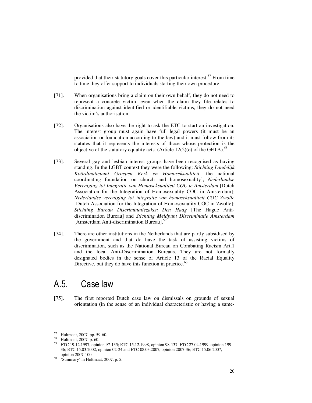provided that their statutory goals cover this particular interest.<sup>57</sup> From time to time they offer support to individuals starting their own procedure.

- [71]. When organisations bring a claim on their own behalf, they do not need to represent a concrete victim; even when the claim they file relates to discrimination against identified or identifiable victims, they do not need the victim's authorisation.
- [72]. Organisations also have the right to ask the ETC to start an investigation. The interest group must again have full legal powers (it must be an association or foundation according to the law) and it must follow from its statutes that it represents the interests of those whose protection is the objective of the statutory equality acts. (Article 12(2)(e) of the GETA).<sup>5</sup>
- [73]. Several gay and lesbian interest groups have been recognised as having standing. In the LGBT context they were the following: *Stichting Landelijk Koördinatiepunt Groepen Kerk en Homoseksualiteit* [the national coordinating foundation on church and homosexuality]; *Nederlandse Vereniging tot Integratie van Homoseksualiteit COC te Amsterdam* [Dutch Association for the Integration of Homosexuality COC in Amsterdam]; *Nederlandse vereniging tot integratie van homoseksualiteit COC Zwolle* [Dutch Association for the Integration of Homosexuality COC in Zwolle]; *Stichting Bureau Discriminatiezaken Den Haag* [The Hague Antidiscrimination Bureau] and *Stichting Meldpunt Discriminatie Amsterdam* [Amsterdam Anti-discrimination Bureau].<sup>59</sup>
- [74]. There are other institutions in the Netherlands that are partly subsidised by the government and that do have the task of assisting victims of discrimination, such as the National Bureau on Combating Racism Art.1 and the local Anti-Discrimination Bureaus. They are not formally designated bodies in the sense of Article 13 of the Racial Equality Directive, but they do have this function in practice. $60$

#### A.5. Case law

[75]. The first reported Dutch case law on dismissals on grounds of sexual orientation (in the sense of an individual characteristic or having a same-

 $^{57}$  Holtmaat, 2007, pp. 59-60.<br> $^{58}$  Holtmaat, 2007, p. 60.

 $^{58}$  Holtmaat, 2007, p. 60.

<sup>59</sup> ETC 19.12.1997, opinion 97-135; ETC 15.12.1998, opinion 98-137; ETC 27.04.1999, opinion 199- 36; ETC 15.03.2002, opinion 02-24 and ETC 08.03.2007, opinion 2007-36; ETC 15.06.2007, opinion 2007-100.

<sup>60</sup> 'Summary' in Holtmaat, 2007, p. 5.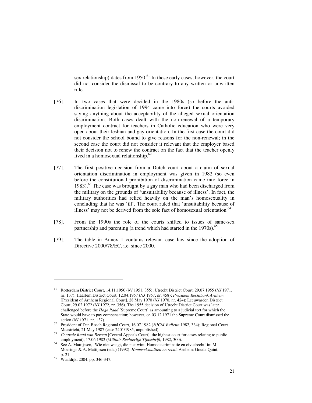sex relationship) dates from  $1950<sup>61</sup>$  In these early cases, however, the court did not consider the dismissal to be contrary to any written or unwritten rule.

- [76]. In two cases that were decided in the 1980s (so before the antidiscrimination legislation of 1994 came into force) the courts avoided saying anything about the acceptability of the alleged sexual orientation discrimination. Both cases dealt with the non-renewal of a temporary employment contract for teachers in Catholic education who were very open about their lesbian and gay orientation. In the first case the court did not consider the school bound to give reasons for the non-renewal; in the second case the court did not consider it relevant that the employer based their decision not to renew the contract on the fact that the teacher openly lived in a homosexual relationship. $62$
- [77]. The first positive decision from a Dutch court about a claim of sexual orientation discrimination in employment was given in 1982 (so even before the constitutional prohibition of discrimination came into force in 1983).<sup>63</sup> The case was brought by a gay man who had been discharged from the military on the grounds of 'unsuitability because of illness'. In fact, the military authorities had relied heavily on the man's homosexuality in concluding that he was 'ill'. The court ruled that 'unsuitability because of illness' may not be derived from the sole fact of homosexual orientation.<sup>64</sup>
- [78]. From the 1990s the role of the courts shifted to issues of same-sex partnership and parenting (a trend which had started in the 1970s).<sup>65</sup>
- [79]. The table in Annex 1 contains relevant case law since the adoption of Directive 2000/78/EC, i.e. since 2000.

<sup>61</sup> Rotterdam District Court, 14.11.1950 (*NJ* 1951, 355); Utrecht District Court, 29.07.1955 (*NJ* 1971, nr. 137); Haarlem District Court, 12.04.1957 (*NJ* 1957, nr. 458); *President Rechtbank Arnhem* [President of Arnhem Regional Court], 28 May 1970 (*NJ* 1970, nr. 424); Leeuwarden District Court, 29.02.1972 (*NJ* 1972, nr. 356). The 1955 decision of Utrecht District Court was later challenged before the *Hoge Raad* [Supreme Court] as amounting to a judicial tort for which the State would have to pay compensation; however, on 03.12.1971 the Supreme Court dismissed the action (*NJ* 1971, nr. 137).

<sup>62</sup> President of Den Bosch Regional Court, 16.07.1982 (*NJCM-Bulletin* 1982, 334); Regional Court Maastricht, 21 May 1987 (case 2401/1985, unpublished).

<sup>63</sup> *Centrale Raad van Beroep* [Central Appeals Court], the highest court for cases relating to public employment), 17.06.1982 (*Militair Rechterlijk Tijdschrift,* 1982, 300).

<sup>64</sup> See A. Mattijssen, 'Wie niet waagt, die niet wint. Homodiscriminatie en civielrecht' in: M. Moerings & A. Mattijssen (eds.) (1992), *Homoseksualiteit en recht*, Arnhem: Gouda Quint, p. 21.

<sup>65</sup> Waaldijk, 2004, pp. 346-347.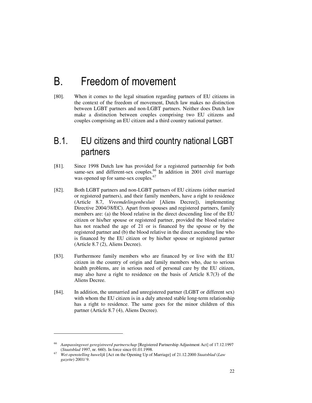# B. Freedom of movement

[80]. When it comes to the legal situation regarding partners of EU citizens in the context of the freedom of movement, Dutch law makes no distinction between LGBT partners and non-LGBT partners. Neither does Dutch law make a distinction between couples comprising two EU citizens and couples comprising an EU citizen and a third country national partner.

#### B.1. EU citizens and third country national LGBT partners

- [81]. Since 1998 Dutch law has provided for a registered partnership for both same-sex and different-sex couples.<sup>66</sup> In addition in 2001 civil marriage was opened up for same-sex couples.<sup>67</sup>
- [82]. Both LGBT partners and non-LGBT partners of EU citizens (either married or registered partners), and their family members, have a right to residence (Article 8.7, *Vreemdelingenbesluit* [Aliens Decree]), implementing Directive 2004/38/EC). Apart from spouses and registered partners, family members are: (a) the blood relative in the direct descending line of the EU citizen or his/her spouse or registered partner, provided the blood relative has not reached the age of 21 or is financed by the spouse or by the registered partner and (b) the blood relative in the direct ascending line who is financed by the EU citizen or by his/her spouse or registered partner (Article 8.7 (2), Aliens Decree).
- [83]. Furthermore family members who are financed by or live with the EU citizen in the country of origin and family members who, due to serious health problems, are in serious need of personal care by the EU citizen, may also have a right to residence on the basis of Article 8.7(3) of the Aliens Decree.
- [84]. In addition, the unmarried and unregistered partner (LGBT or different sex) with whom the EU citizen is in a duly attested stable long-term relationship has a right to residence. The same goes for the minor children of this partner (Article 8.7 (4), Aliens Decree).

<sup>66</sup> *Aanpassingswet geregistreerd partnerschap* [Registered Partnership Adjustment Act] of 17.12.1997 (*Staatsblad* 1997, nr. 660). In force since 01.01.1998.

<sup>67</sup> *Wet openstelling huwelijk* [Act on the Opening Up of Marriage] of 21.12.2000 *Staatsblad* (*Law gazette*) 2001/ 9.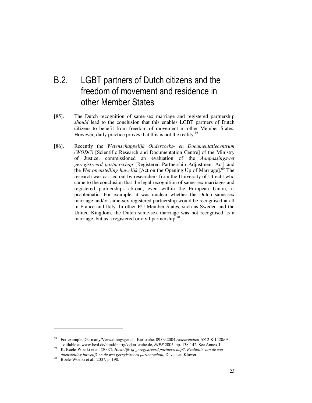## B.2. LGBT partners of Dutch citizens and the freedom of movement and residence in other Member States

- [85]. The Dutch recognition of same-sex marriage and registered partnership *should* lead to the conclusion that this enables LGBT partners of Dutch citizens to benefit from freedom of movement in other Member States. However, daily practice proves that this is not the reality.<sup>68</sup>
- [86]. Recently the *Wetenschappelijk Onderzoeks- en Documentatiecentrum (WODC)* [Scientific Research and Documentation Centre] of the Ministry of Justice, commissioned an evaluation of the *Aanpassingswet geregistreerd partnerschap* [Registered Partnership Adjustment Act] and the *Wet openstelling huwelijk* [Act on the Opening Up of Marriage].<sup>69</sup> The research was carried out by researchers from the University of Utrecht who came to the conclusion that the legal recognition of same-sex marriages and registered partnerships abroad, even within the European Union, is problematic. For example, it was unclear whether the Dutch same-sex marriage and/or same-sex registered partnership would be recognised at all in France and Italy. In other EU Member States, such as Sweden and the United Kingdom, the Dutch same-sex marriage was not recognised as a marriage, but as a registered or civil partnership.<sup>70</sup>

 $\overline{a}$ 

<sup>68</sup> For example, Germany/Verwaltungsgericht Karlsruhe, 09.09.2004 *Aktenzeichen* AZ 2 K 1420/03, available at www.lsvd.de/bund/lpartg/vgkarlsruhe.de, *NIPR* 2005, pp. 138-142. See Annex 1.

<sup>69</sup> K. Boele-Woelki et al. (2007), *Huwelijk of geregistreerd partnerschap?, Evaluatie van de wet openstelling huwelijk en de wet geregistreerd partnerschap*, Deventer: Kluwer.

 $70$  Boele-Woelki et al., 2007, p. 190.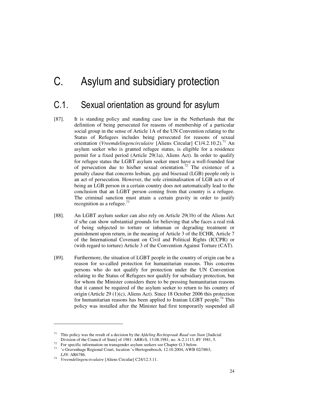# C. Asylum and subsidiary protection

## C.1. Sexual orientation as ground for asylum

- [87]. It is standing policy and standing case law in the Netherlands that the definition of being persecuted for reasons of membership of a particular social group in the sense of Article 1A of the UN Convention relating to the Status of Refugees includes being persecuted for reasons of sexual orientation (*Vreemdelingencirculaire* [Aliens Circular] C1/4.2.10.2).<sup>71</sup> An asylum seeker who is granted refugee status, is eligible for a residence permit for a fixed period (Article 29(1a), Aliens Act). In order to qualify for refugee status the LGBT asylum seeker must have a well-founded fear of persecution due to his/her sexual orientation.<sup>72</sup> The existence of a penalty clause that concerns lesbian, gay and bisexual (LGB) people only is an act of persecution. However, the sole criminalisation of LGB acts or of being an LGB person in a certain country does not automatically lead to the conclusion that an LGBT person coming from that country is a refugee. The criminal sanction must attain a certain gravity in order to justify recognition as a refugee.<sup>73</sup>
- [88]. An LGBT asylum seeker can also rely on Article 29(1b) of the Aliens Act if s/he can show substantial grounds for believing that s/he faces a real risk of being subjected to torture or inhuman or degrading treatment or punishment upon return, in the meaning of Article 3 of the ECHR, Article 7 of the International Covenant on Civil and Political Rights (ICCPR) or (with regard to torture) Article 3 of the Convention Against Torture (CAT).
- [89]. Furthermore, the situation of LGBT people in the country of origin can be a reason for so-called protection for humanitarian reasons. This concerns persons who do not qualify for protection under the UN Convention relating to the Status of Refugees nor qualify for subsidiary protection, but for whom the Minister considers there to be pressing humanitarian reasons that it cannot be required of the asylum seeker to return to his country of origin (Article 29 (1)(c), Aliens Act). Since 18 October 2006 this protection for humanitarian reasons has been applied to Iranian LGBT people.<sup>74</sup> This policy was installed after the Minister had first temporarily suspended all

<sup>71</sup> This policy was the result of a decision by the *Afdeling Rechtspraak Raad van State* [Judicial Division of the Council of State] of 1981: ARRvS, 13.08.1981, no. A-2.1113, *RV* 1981, 5.

<sup>&</sup>lt;sup>72</sup> For specific information on transgender asylum seekers see Chapter G.3 below.<br><sup>73</sup> : Crayophaga Bagianal Court, leastion 's Hartesanbagab, 12,10,2004, AWB 0.

<sup>&#</sup>x27;s-Gravenhage Regional Court, location 's-Hertogenbosch, 12.10.2004, AWB 02/3863, *LJN*: AR6786.

<sup>74</sup> *Vreemdelingencirculaire* [Aliens Circular] C24/12.3.11.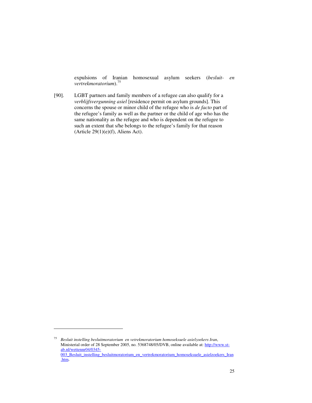expulsions of Iranian homosexual asylum seekers (*besluit- en vertrekmoratorium*).<sup>75</sup>

[90]. LGBT partners and family members of a refugee can also qualify for a *verblijfsvergunning asiel* [residence permit on asylum grounds]. This concerns the spouse or minor child of the refugee who is *de facto* part of the refugee's family as well as the partner or the child of age who has the same nationality as the refugee and who is dependent on the refugee to such an extent that s/he belongs to the refugee's family for that reason (Article 29(1)(e)(f), Aliens Act).

 $\overline{a}$ 

<sup>75</sup> *Besluit instelling besluitmoratorium en vetrekmoratorium homoseksuele asielzoekers Iran*, Ministerial order of 28 September 2005, no. 5368748/05/DVB, online available at: http://www.stab.nl/wettennr04/0345- 003 Besluit instelling besluitmoratorium en vertrekmoratorium homoseksuele asielzoekers Iran .htm.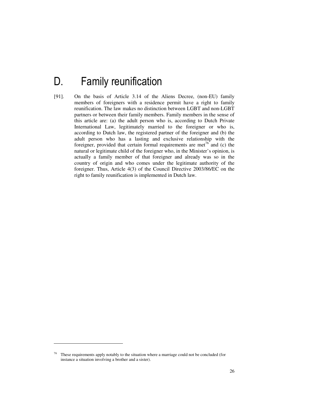# D. Family reunification

[91]. On the basis of Article 3.14 of the Aliens Decree, (non-EU) family members of foreigners with a residence permit have a right to family reunification. The law makes no distinction between LGBT and non-LGBT partners or between their family members. Family members in the sense of this article are: (a) the adult person who is, according to Dutch Private International Law, legitimately married to the foreigner or who is, according to Dutch law, the registered partner of the foreigner and (b) the adult person who has a lasting and exclusive relationship with the foreigner, provided that certain formal requirements are met<sup>76</sup> and (c) the natural or legitimate child of the foreigner who, in the Minister's opinion, is actually a family member of that foreigner and already was so in the country of origin and who comes under the legitimate authority of the foreigner. Thus, Article 4(3) of the Council Directive 2003/86/EC on the right to family reunification is implemented in Dutch law.

<sup>&</sup>lt;sup>76</sup> These requirements apply notably to the situation where a marriage could not be concluded (for instance a situation involving a brother and a sister).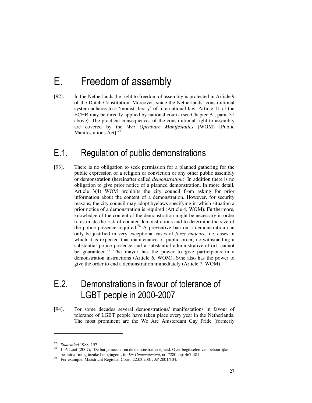# E. Freedom of assembly

[92]. In the Netherlands the right to freedom of assembly is protected in Article 9 of the Dutch Constitution. Moreover, since the Netherlands' constitutional system adheres to a 'monist theory' of international law, Article 11 of the ECHR may be directly applied by national courts (see Chapter A., para. 31 above). The practical consequences of the constitutional right to assembly are covered by the *Wet Openbare Manifestaties* (WOM) [Public Manifestations Act].<sup>77</sup>

### E.1. Regulation of public demonstrations

[93]. There is no obligation to seek permission for a planned gathering for the public expression of a religion or conviction or any other public assembly or demonstration (hereinafter called *demonstration*). In addition there is no obligation to give prior notice of a planned demonstration. In more detail, Article 3(4) WOM prohibits the city council from asking for prior information about the content of a demonstration. However, for security reasons, the city council may adopt byelaws specifying in which situation a prior notice of a demonstration is required (Article 4, WOM). Furthermore, knowledge of the content of the demonstration might be necessary in order to estimate the risk of counter-demonstrations and to determine the size of the police presence required.<sup>78</sup> A preventive ban on a demonstration can only be justified in very exceptional cases of *force majeure,* i.e. cases in which it is expected that maintenance of public order, notwithstanding a substantial police presence and a substantial administrative effort, cannot be guaranteed.<sup>79</sup> The mayor has the power to give participants in a demonstration instructions (Article 6, WOM). S/he also has the power to give the order to end a demonstration immediately (Article 7, WOM).

### E.2. Demonstrations in favour of tolerance of LGBT people in 2000-2007

[94]. For some decades several demonstrations/ manifestations in favour of tolerance of LGBT people have taken place every year in the Netherlands. The most prominent are the We Are Amsterdam Gay Pride (formerly

<sup>77</sup> *Staatsblad* 1988, 157.

<sup>78</sup> J. P. Loof (2007), 'De burgemeester en de demonstratievrijheid. Over beginselen van behoorlijke besluitvorming inzake betogingen', in: *De Gemeentestem*, nr. 7280, pp. 467-481.

<sup>79</sup> For example, Maastricht Regional Court, 22.03.2001, *JB* 2001/104.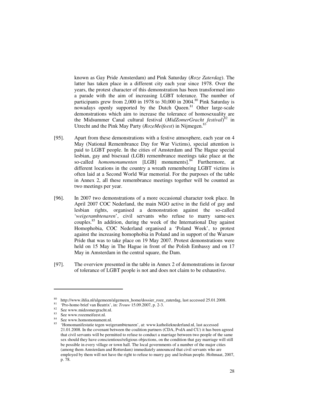known as Gay Pride Amsterdam) and Pink Saturday (*Roze Zaterdag*). The latter has taken place in a different city each year since 1978. Over the years, the protest character of this demonstration has been transformed into a parade with the aim of increasing LGBT tolerance. The number of participants grew from 2,000 in 1978 to 30,000 in 2004.<sup>80</sup> Pink Saturday is nowadays openly supported by the Dutch Queen.<sup>81</sup> Other large-scale demonstrations which aim to increase the tolerance of homosexuality are the Midsummer Canal cultural festival (*MidZomerGracht festival*) <sup>82</sup> in Utrecht and the Pink May Party (*RozeMeifeest*) in Nijmegen.<sup>83</sup>

- [95]. Apart from these demonstrations with a festive atmosphere, each year on 4 May (National Remembrance Day for War Victims), special attention is paid to LGBT people. In the cities of Amsterdam and The Hague special lesbian, gay and bisexual (LGB) remembrance meetings take place at the so-called *homomonumenten* [LGB] monuments].<sup>84</sup> Furthermore, at different locations in the country a wreath remembering LGBT victims is often laid at a Second World War memorial. For the purposes of the table in Annex 2, all these remembrance meetings together will be counted as two meetings per year.
- [96]. In 2007 two demonstrations of a more occasional character took place. In April 2007 COC Nederland, the main NGO active in the field of gay and lesbian rights, organised a demonstration against the so-called '*weigerambtenaren*', civil servants who refuse to marry same-sex couples.<sup>85</sup> In addition, during the week of the International Day against Homophobia, COC Nederland organised a 'Poland Week', to protest against the increasing homophobia in Poland and in support of the Warsaw Pride that was to take place on 19 May 2007. Protest demonstrations were held on 15 May in The Hague in front of the Polish Embassy and on 17 May in Amsterdam in the central square, the Dam.
- [97]. The overview presented in the table in Annex 2 of demonstrations in favour of tolerance of LGBT people is not and does not claim to be exhaustive.

<sup>&</sup>lt;sup>80</sup> http://www.ihlia.nl/algemeen/algemeen\_home/dossier\_roze\_zaterdag, last accessed 25.01.2008.<br><sup>81</sup> : Pro home hrief van Peetrix', in: Treuw 15.00.2007, p. 2.2.

<sup>&</sup>lt;sup>81</sup> 'Pro-homo brief van Beatrix', in: *Trouw* 15.09.2007, p. 2-3.<br><sup>82</sup> See www.midzomergreekt.pl

 $\frac{82}{83}$  See www.midzomergracht.nl.

See www.rozemeifeest.nl.

See www.homomonument.nl.

<sup>85</sup> 'Homomanifestatie tegen weigerambtenaren', at: www.katholieknederland.nl, last accessed 21.01.2008. In the covenant between the coalition partners (CDA, PvdA and CU) it has been agreed that civil servants will be permitted to refuse to conduct a marriage between two people of the same sex should they have conscientious/religious objections, on the condition that gay marriage will still be possible in every village or town hall. The local governments of a number of the major cities (among them Amsterdam and Rotterdam) immediately announced that civil servants who are employed by them will not have the right to refuse to marry gay and lesbian people. Holtmaat, 2007, p. 78.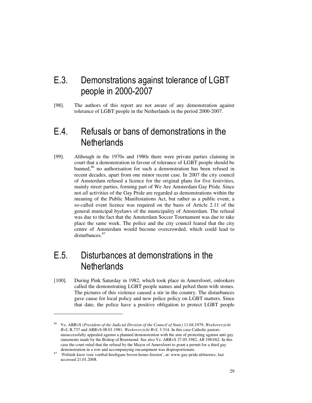## E.3. Demonstrations against tolerance of LGBT people in 2000-2007

[98]. The authors of this report are not aware of any demonstration against tolerance of LGBT people in the Netherlands in the period 2000-2007.

### E.4. Refusals or bans of demonstrations in the **Netherlands**

[99]. Although in the 1970s and 1980s there were private parties claiming in court that a demonstration in favour of tolerance of LGBT people should be banned, $86$  no authorisation for such a demonstration has been refused in recent decades, apart from one minor recent case. In 2007 the city council of Amsterdam refused a licence for the original plans for five festivities, mainly street parties, forming part of We Are Amsterdam Gay Pride. Since not *all* activities of the Gay Pride are regarded as demonstrations within the meaning of the Public Manifestations Act, but rather as a public event, a so-called event licence was required on the basis of Article 2.11 of the general municipal byelaws of the municipality of Amsterdam. The refusal was due to the fact that the Amsterdam Soccer Tournament was due to take place the same week. The police and the city council feared that the city centre of Amsterdam would become overcrowded, which could lead to disturbances.<sup>87</sup>

### E.5. Disturbances at demonstrations in the **Netherlands**

-

[100]. During Pink Saturday in 1982, which took place in Amersfoort, onlookers called the demonstrating LGBT people names and pelted them with stones. The pictures of this violence caused a stir in the country. The disturbances gave cause for local policy and new police policy on LGBT matters. Since that date, the police have a positive obligation to protect LGBT people

<sup>86</sup> Vz. ARRvS (*President of the Judicial Division of the Council of State)* 11.04.1979, *Weekoverzicht RvS*, R.737 and ARRvS 08.01.1981, *Weekoverzicht RvS*, 3.314. In this case Catholic pastors unsuccessfully appealed against a planned demonstration with the aim of protesting against anti-gay statements made by the Bishop of Roermond. See also Vz. ARRvS 27.05.1982, *AB* 1983/62. In this case the court ruled that the refusal by the Mayor of Amersfoort to grant a permit for a third gay demonstration in a row and accompanying encampment was disproportionate.

<sup>87</sup> 'Politiek kiest voor voetbal-hooligans boven homo-feesten', at: www.gay-pride.nl/nieuws, last accessed 21.01.2008.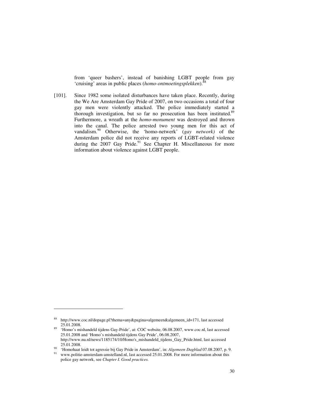from 'queer bashers', instead of banishing LGBT people from gay 'cruising' areas in public places (*homo-ontmoetingsplekken*).<sup>8</sup>

[101]. Since 1982 some isolated disturbances have taken place. Recently, during the We Are Amsterdam Gay Pride of 2007, on two occasions a total of four gay men were violently attacked. The police immediately started a thorough investigation, but so far no prosecution has been instituted.<sup>89</sup> Furthermore, a wreath at the *homo-monument* was destroyed and thrown into the canal. The police arrested two young men for this act of vandalism.<sup>90</sup> Otherwise, the 'homo-netwerk' (*gay network)* of the Amsterdam police did not receive any reports of LGBT-related violence during the 2007 Gay Pride.<sup>91</sup> See Chapter H. Miscellaneous for more information about violence against LGBT people.

<sup>88</sup> http://www.coc.nl/dopage.pl?thema=any&pagina=algemeen&algemeen\_id=171, last accessed 25.01.2008.

<sup>89</sup> 'Homo's mishandeld tijdens Gay-Pride', at: COC website, 06.08.2007, www.coc.nl, last accessed 25.01.2008 and 'Homo's mishandeld tijdens Gay Pride', 06.08.2007, http://www.nu.nl/news/1185174/10/Homo's\_mishandeld\_tijdens\_Gay\_Pride.html, last accessed 25.01.2008.

<sup>90</sup> 'Homohaat leidt tot agressie bij Gay Pride in Amsterdam', in: *Algemeen Dagblad* 07.08.2007, p. 9.

www.politie-amsterdam-amstelland.nl, last accessed 25.01.2008. For more information about this police gay network, see *Chapter I. Good practices.*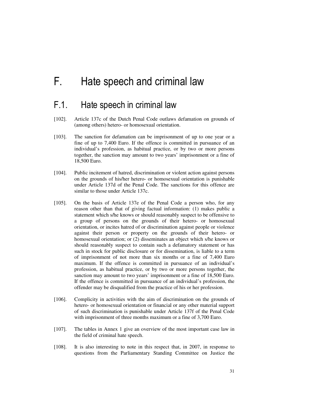# F. Hate speech and criminal law

#### F.1. Hate speech in criminal law

- [102]. Article 137c of the Dutch Penal Code outlaws defamation on grounds of (among others) hetero- or homosexual orientation.
- [103]. The sanction for defamation can be imprisonment of up to one year or a fine of up to 7,400 Euro. If the offence is committed in pursuance of an individual's profession, as habitual practice, or by two or more persons together, the sanction may amount to two years' imprisonment or a fine of 18,500 Euro.
- [104]. Public incitement of hatred, discrimination or violent action against persons on the grounds of his/her hetero- or homosexual orientation is punishable under Article 137d of the Penal Code. The sanctions for this offence are similar to those under Article 137c.
- [105]. On the basis of Article 137e of the Penal Code a person who, for any reason other than that of giving factual information: (1) makes public a statement which s/he knows or should reasonably suspect to be offensive to a group of persons on the grounds of their hetero- or homosexual orientation, or incites hatred of or discrimination against people or violence against their person or property on the grounds of their hetero- or homosexual orientation; or (2) disseminates an object which s/he knows or should reasonably suspect to contain such a defamatory statement or has such in stock for public disclosure or for dissemination, is liable to a term of imprisonment of not more than six months or a fine of 7,400 Euro maximum. If the offence is committed in pursuance of an individual's profession, as habitual practice, or by two or more persons together, the sanction may amount to two years' imprisonment or a fine of 18,500 Euro. If the offence is committed in pursuance of an individual's profession, the offender may be disqualified from the practice of his or her profession.
- [106]. Complicity in activities with the aim of discrimination on the grounds of hetero- or homosexual orientation or financial or any other material support of such discrimination is punishable under Article 137f of the Penal Code with imprisonment of three months maximum or a fine of 3,700 Euro.
- [107]. The tables in Annex 1 give an overview of the most important case law in the field of criminal hate speech.
- [108]. It is also interesting to note in this respect that, in 2007, in response to questions from the Parliamentary Standing Committee on Justice the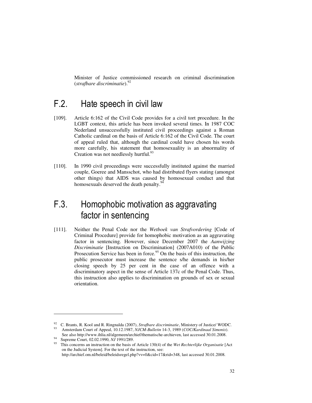Minister of Justice commissioned research on criminal discrimination (*strafbare discriminatie*).<sup>92</sup>

### F.2. Hate speech in civil law

- [109]. Article 6:162 of the Civil Code provides for a civil tort procedure. In the LGBT context, this article has been invoked several times. In 1987 COC Nederland unsuccessfully instituted civil proceedings against a Roman Catholic cardinal on the basis of Article 6:162 of the Civil Code. The court of appeal ruled that, although the cardinal could have chosen his words more carefully, his statement that homosexuality is an abnormality of Creation was not needlessly hurtful.<sup>93</sup>
- [110]. In 1990 civil proceedings were successfully instituted against the married couple, Goeree and Mansschot, who had distributed flyers stating (amongst other things) that AIDS was caused by homosexual conduct and that homosexuals deserved the death penalty.<sup>94</sup>

## F.3. Homophobic motivation as aggravating factor in sentencing

[111]. Neither the Penal Code nor the *Wetboek van Strafvordering* [Code of Criminal Procedure] provide for homophobic motivation as an aggravating factor in sentencing. However, since December 2007 the *Aanwijzing Discriminatie* [Instruction on Discrimination] (2007A010) of the Public Prosecution Service has been in force.<sup>95</sup> On the basis of this instruction, the public prosecutor must increase the sentence s/he demands in his/her closing speech by 25 per cent in the case of an offence with a discriminatory aspect in the sense of Article 137c of the Penal Code. Thus, this instruction also applies to discrimination on grounds of sex or sexual orientation.

<sup>&</sup>lt;sup>92</sup> C. Brants, R. Kool and R. Ringnalda (2007), *Strafbare discriminatie*, Ministery of Justice/ WODC. <sup>93</sup> Amsterdam Court of Appeal, 10.12.1987, *NJCM-Bulletin* 14-3, 1989 (*COC/Kardinaal Simonis*).

See also http://www.ihlia.nl/algemeen/archief/thematische-archieven, last accessed 30.01.2008.

<sup>94</sup> Supreme Court, 02.02.1990, *NJ* 1991/289.

<sup>95</sup> This concerns an instruction on the basis of Article 130(4) of the *Wet Rechterlijke Organisatie* [Act on the Judicial System]. For the text of the instruction, see: http://archief.om.nl/beleid/beleidsregel.php?vv=0&cid=17&rid=348, last accessed 30.01.2008.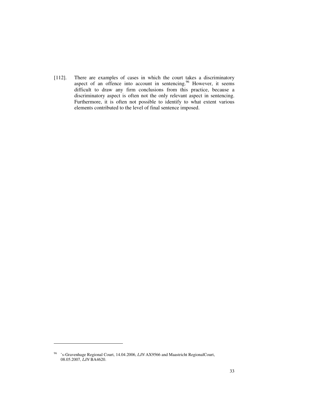[112]. There are examples of cases in which the court takes a discriminatory aspect of an offence into account in sentencing.<sup>96</sup> However, it seems difficult to draw any firm conclusions from this practice, because a discriminatory aspect is often not the only relevant aspect in sentencing. Furthermore, it is often not possible to identify to what extent various elements contributed to the level of final sentence imposed.

<sup>96</sup> 's-Gravenhage Regional Court, 14.04.2006, *LJN* AX9566 and Maastricht RegionalCourt, 08.05.2007, *LJN* BA4620.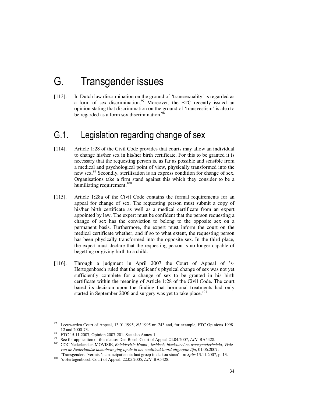# G. Transgender issues

[113]. In Dutch law discrimination on the ground of 'transsexuality' is regarded as a form of sex discrimination. $97$  Moreover, the ETC recently issued an opinion stating that discrimination on the ground of 'transvestism' is also to be regarded as a form sex discrimination.<sup>98</sup>

## G.1. Legislation regarding change of sex

- [114]. Article 1:28 of the Civil Code provides that courts may allow an individual to change his/her sex in his/her birth certificate. For this to be granted it is necessary that the requesting person is, as far as possible and sensible from a medical and psychological point of view, physically transformed into the new sex.<sup>99</sup> Secondly, sterilisation is an express condition for change of sex. Organisations take a firm stand against this which they consider to be a humiliating requirement.<sup>100</sup>
- [115]. Article 1:28a of the Civil Code contains the formal requirements for an appeal for change of sex. The requesting person must submit a copy of his/her birth certificate as well as a medical certificate from an expert appointed by law. The expert must be confident that the person requesting a change of sex has the conviction to belong to the opposite sex on a permanent basis. Furthermore, the expert must inform the court on the medical certificate whether, and if so to what extent, the requesting person has been physically transformed into the opposite sex. In the third place, the expert must declare that the requesting person is no longer capable of begetting or giving birth to a child.
- [116]. Through a judgment in April 2007 the Court of Appeal of 's-Hertogenbosch ruled that the applicant's physical change of sex was not yet sufficiently complete for a change of sex to be granted in his birth certificate within the meaning of Article 1:28 of the Civil Code. The court based its decision upon the finding that hormonal treatments had only started in September 2006 and surgery was yet to take place.<sup>101</sup>

<sup>97</sup> Leeuwarden Court of Appeal, 13.01.1995, *NJ* 1995 nr. 243 and, for example, ETC Opinions 1998- 12 and 2000-73.

<sup>98</sup> ETC 15.11.2007, Opinion 2007-201. See also Annex 1.

<sup>99</sup> See for application of this clause: Den Bosch Court of Appeal 24.04.2007, *LJN*: BA5428.

<sup>100</sup> COC Nederland en MOVISIE, *Beleidsvisie Homo-, lesbisch, biseksueel en transgenderbeleid, Visie van de Nederlandse homobeweging op de in het coalitieakkoord uitgezette lijn*, 01.06.2007; 'Transgenders 'vermist'; emancipatienota laat groep in de kou staan', in: *Spits* 13.11.2007, p. 13.

<sup>101</sup> 's-Hertogenbosch Court of Appeal, 22.05.2005, *LJN*: BA5428.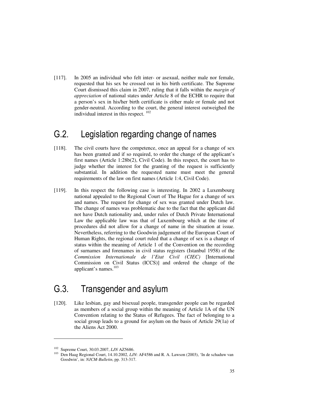[117]. In 2005 an individual who felt inter- or asexual, neither male nor female, requested that his sex be crossed out in his birth certificate. The Supreme Court dismissed this claim in 2007, ruling that it falls within the *margin of appreciation* of national states under Article 8 of the ECHR to require that a person's sex in his/her birth certificate is either male or female and not gender-neutral. According to the court, the general interest outweighed the individual interest in this respect.  $102$ 

### G.2. Legislation regarding change of names

- [118]. The civil courts have the competence, once an appeal for a change of sex has been granted and if so required, to order the change of the applicant's first names (Article 1:28b(2), Civil Code). In this respect, the court has to judge whether the interest for the granting of the request is sufficiently substantial. In addition the requested name must meet the general requirements of the law on first names (Article 1:4, Civil Code).
- [119]. In this respect the following case is interesting. In 2002 a Luxembourg national appealed to the Regional Court of The Hague for a change of sex and names. The request for change of sex was granted under Dutch law. The change of names was problematic due to the fact that the applicant did not have Dutch nationality and, under rules of Dutch Private International Law the applicable law was that of Luxembourg which at the time of procedures did not allow for a change of name in the situation at issue. Nevertheless, referring to the Goodwin judgement of the European Court of Human Rights, the regional court ruled that a change of sex is a change of status within the meaning of Article 1 of the Convention on the recording of surnames and forenames in civil status registers (Istanbul 1958) of the *Commission Internationale de l'Etat Civil (CIEC)* [International Commission on Civil Status (ICCS)] and ordered the change of the applicant's names.<sup>103</sup>

## G.3. Transgender and asylum

[120]. Like lesbian, gay and bisexual people, transgender people can be regarded as members of a social group within the meaning of Article 1A of the UN Convention relating to the Status of Refugees. The fact of belonging to a social group leads to a ground for asylum on the basis of Article 29(1a) of the Aliens Act 2000.

<sup>&</sup>lt;sup>102</sup> Supreme Court, 30.03.2007, *LJN* AZ5686.<br><sup>103</sup> Den Haag Begional Court, 14.10.2002, *LU* 

<sup>103</sup> Den Haag Regional Court, 14.10.2002, *LJN*: AF4586 and R. A. Lawson (2003), 'In de schaduw van Goodwin', in: *NJCM-Bulletin*, pp. 313-317.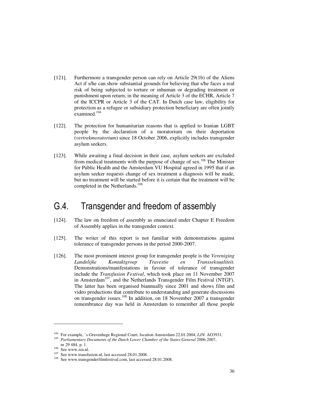- [121]. Furthermore a transgender person can rely on Article 29(1b) of the Aliens Act if s/he can show substantial grounds for believing that s/he faces a real risk of being subjected to torture or inhuman or degrading treatment or punishment upon return, in the meaning of Article 3 of the ECHR, Article 7 of the ICCPR or Article 3 of the CAT. In Dutch case law, eligibility for protection as a refugee or subsidiary protection beneficiary are often jointly examined.<sup>104</sup>
- [122]. The protection for humanitarian reasons that is applied to Iranian LGBT people by the declaration of a moratorium on their deportation (*vertrekmoratorium*) since 18 October 2006, explicitly includes transgender asylum seekers.
- [123]. While awaiting a final decision in their case, asylum seekers are excluded from medical treatments with the purpose of change of sex.<sup>105</sup> The Minister for Public Health and the Amsterdam VU Hospital agreed in 1995 that if an asylum seeker requests change of sex treatment a diagnosis will be made, but no treatment will be started before it is certain that the treatment will be completed in the Netherlands.<sup>106</sup>

#### G.4. Transgender and freedom of assembly

- [124]. The law on freedom of assembly as enunciated under Chapter E Freedom of Assembly applies in the transgender context.
- [125]. The writer of this report is not familiar with demonstrations against tolerance of transgender persons in the period 2000-2007.
- [126]. The most prominent interest group for transgender people is the *Vereniging Landelijke Kontaktgroep Travestie en Transseksualiteit.* Demonstrations/manifestations in favour of tolerance of transgender include the *Transfusion Festival*, which took place on 11 November 2007 in Amsterdam<sup>107</sup>, and the Netherlands Transgender Film Festival (NTGF). The latter has been organised biannually since 2001 and shows film and video productions that contribute to understanding and generate discussions on transgender issues.<sup>108</sup> In addition, on 18 November 2007 a transgender remembrance day was held in Amsterdam to remember all those people

<sup>104</sup> For example, 's-Gravenhage Regional Court, location Amsterdam 22.01.2004, *LJN*: AO3931. <sup>105</sup> Parliamentary Documents of the Dutch Lower Chamber of the States-General 2006-2007, nr 29 484, p. 1.

<sup>106</sup> See www.zra.nl.

<sup>&</sup>lt;sup>107</sup> See www.transfusion.nl, last accessed 28.01.2008.

<sup>108</sup> See www.transgenderfilmfestival.com, last accessed 28.01.2008.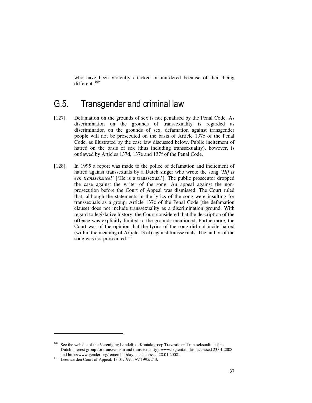who have been violently attacked or murdered because of their being different.<sup>109</sup>

# G.5. Transgender and criminal law

- [127]. Defamation on the grounds of sex is not penalised by the Penal Code. As discrimination on the grounds of transsexuality is regarded as discrimination on the grounds of sex, defamation against transgender people will not be prosecuted on the basis of Article 137c of the Penal Code, as illustrated by the case law discussed below. Public incitement of hatred on the basis of sex (thus including transsexuality), however, is outlawed by Articles 137d, 137e and 137f of the Penal Code.
- [128]. In 1995 a report was made to the police of defamation and incitement of hatred against transsexuals by a Dutch singer who wrote the song *'Hij is een transseksueel'* ['He is a transsexual']. The public prosecutor dropped the case against the writer of the song. An appeal against the nonprosecution before the Court of Appeal was dismissed. The Court ruled that, although the statements in the lyrics of the song were insulting for transsexuals as a group, Article 137c of the Penal Code (the defamation clause) does not include transsexuality as a discrimination ground. With regard to legislative history, the Court considered that the description of the offence was explicitly limited to the grounds mentioned. Furthermore, the Court was of the opinion that the lyrics of the song did not incite hatred (within the meaning of Article 137d) against transsexuals. The author of the song was not prosecuted. $110$

 $\ddot{ }$ 

See the website of the Vereniging Landelijke Kontaktgroep Travestie en Transseksualiteit (the Dutch interest group for transvestism and transsexuality), www.lkgtent.nl, last accessed 23.01.2008 and http://www.gender.org/remember/day, last accessed 28.01.2008.

<sup>110</sup> Leeuwarden Court of Appeal, 13.01.1995, *NJ* 1995/243.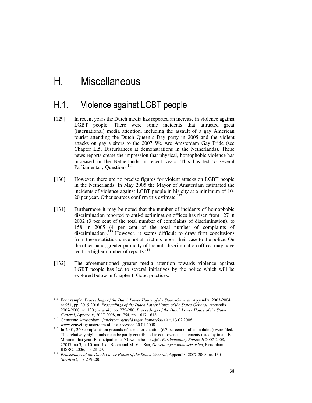# H. Miscellaneous

## H.1. Violence against LGBT people

- [129]. In recent years the Dutch media has reported an increase in violence against LGBT people. There were some incidents that attracted great (international) media attention, including the assault of a gay American tourist attending the Dutch Queen's Day party in 2005 and the violent attacks on gay visitors to the 2007 We Are Amsterdam Gay Pride (see Chapter E.5. Disturbances at demonstrations in the Netherlands). These news reports create the impression that physical, homophobic violence has increased in the Netherlands in recent years. This has led to several Parliamentary Questions.<sup>111</sup>
- [130]. However, there are no precise figures for violent attacks on LGBT people in the Netherlands. In May 2005 the Mayor of Amsterdam estimated the incidents of violence against LGBT people in his city at a minimum of 10- 20 per year. Other sources confirm this estimate.<sup>112</sup>
- [131]. Furthermore it may be noted that the number of incidents of homophobic discrimination reported to anti-discrimination offices has risen from 127 in 2002 (3 per cent of the total number of complaints of discrimination), to 158 in 2005 (4 per cent of the total number of complaints of discrimination).<sup>113</sup> However, it seems difficult to draw firm conclusions from these statistics, since not all victims report their case to the police. On the other hand, greater publicity of the anti-discrimination offices may have led to a higher number of reports.<sup>114</sup>
- [132]. The aforementioned greater media attention towards violence against LGBT people has led to several initiatives by the police which will be explored below in Chapter I. Good practices.

 $\ddot{ }$ 

<sup>111</sup> For example, *Proceedings of the Dutch Lower House of the States-General*, Appendix, 2003-2004, nr.951, pp. 2015-2016; *Proceedings of the Dutch Lower House of the States-General*, Appendix, 2007-2008, nr. 130 (*herdruk*), pp. 279-280; *Proceedings of the Dutch Lower House of the State-General*, Appendix, 2007-2008, nr. 754, pp. 1617-1618.

<sup>112</sup> Gemeente Amsterdam, *Quickscan geweld tegen homoseksuelen*, 13.02.2006, www.eenveiligamsterdam.nl, last accessed 30.01.2008.

<sup>&</sup>lt;sup>113</sup> In 2001, 260 complaints on grounds of sexual orientation (6.7 per cent of all complaints) were filed. This relatively high number can be partly contributed to controversial statements made by imam El-Moumni that year. Emancipatienota 'Gewoon homo zijn', *Parliamentary Papers II* 2007-2008, 27017, no.3, p. 10. and J. de Boom and M. Van San, *Geweld tegen homoseksuelen*, Rotterdam, RISBO, 2006, pp. 28-29.

<sup>114</sup> *Proceedings of the Dutch Lower House of the States-General*, Appendix, 2007-2008, nr. 130 (*herdruk*), pp. 279-280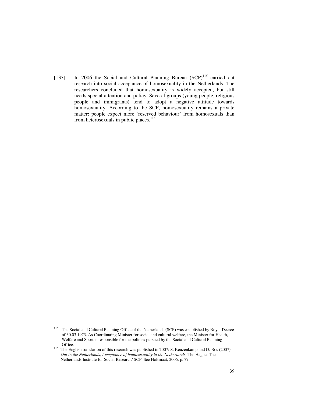[133]. In 2006 the Social and Cultural Planning Bureau (SCP)<sup>115</sup> carried out research into social acceptance of homosexuality in the Netherlands. The researchers concluded that homosexuality is widely accepted, but still needs special attention and policy. Several groups (young people, religious people and immigrants) tend to adopt a negative attitude towards homosexuality. According to the SCP, homosexuality remains a private matter: people expect more 'reserved behaviour' from homosexuals than from heterosexuals in public places.<sup>116</sup>

-

<sup>&</sup>lt;sup>115</sup> The Social and Cultural Planning Office of the Netherlands (SCP) was established by Royal Decree of 30.03.1973. As Coordinating Minister for social and cultural welfare, the Minister for Health, Welfare and Sport is responsible for the policies pursued by the Social and Cultural Planning Office.

<sup>&</sup>lt;sup>116</sup> The English translation of this research was published in 2007: S. Keuzenkamp and D. Bos (2007), *Out in the Netherlands, Acceptance of homosexuality in the Netherlands*, The Hague: The Netherlands Institute for Social Research/ SCP. See Holtmaat, 2006, p. 77.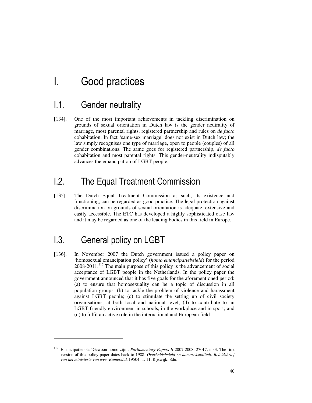# I. Good practices

## I.1. Gender neutrality

[134]. One of the most important achievements in tackling discrimination on grounds of sexual orientation in Dutch law is the gender neutrality of marriage, most parental rights, registered partnership and rules on *de facto* cohabitation. In fact 'same-sex marriage' does not exist in Dutch law; the law simply recognises one type of marriage, open to people (couples) of all gender combinations. The same goes for registered partnership, *de facto* cohabitation and most parental rights. This gender-neutrality indisputably advances the emancipation of LGBT people.

# I.2. The Equal Treatment Commission

[135]. The Dutch Equal Treatment Commission as such, its existence and functioning, can be regarded as good practice. The legal protection against discrimination on grounds of sexual orientation is adequate, extensive and easily accessible. The ETC has developed a highly sophisticated case law and it may be regarded as one of the leading bodies in this field in Europe.

# I.3. General policy on LGBT

-

[136]. In November 2007 the Dutch government issued a policy paper on 'homosexual emancipation policy' (*homo emancipatiebeleid*) for the period 2008-2011.<sup>117</sup> The main purpose of this policy is the advancement of social acceptance of LGBT people in the Netherlands. In the policy paper the government announced that it has five goals for the aforementioned period: (a) to ensure that homosexuality can be a topic of discussion in all population groups; (b) to tackle the problem of violence and harassment against LGBT people; (c) to stimulate the setting up of civil society organisations, at both local and national level; (d) to contribute to an LGBT-friendly environment in schools, in the workplace and in sport; and (d) to fulfil an active role in the international and European field.

<sup>117</sup> Emancipatienota 'Gewoon homo zijn', *Parliamentary Papers II* 2007-2008, 27017, no.3. The first version of this policy paper dates back to 1988: *Overheidsbeleid en homoseksualiteit. Beleidsbrief van het ministerie van wvc, Kamerstuk* 19504 nr. 11. Rijswijk: Sdu.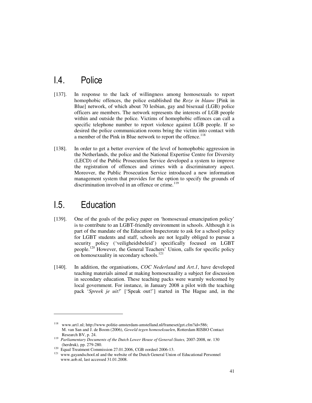## I.4. Police

- [137]. In response to the lack of willingness among homosexuals to report homophobic offences, the police established the *Roze in blauw* [Pink in Blue] network, of which about 70 lesbian, gay and bisexual (LGB) police officers are members. The network represents the interests of LGB people within and outside the police. Victims of homophobic offences can call a specific telephone number to report violence against LGB people. If so desired the police communication rooms bring the victim into contact with a member of the Pink in Blue network to report the offence.<sup>118</sup>
- [138]. In order to get a better overview of the level of homophobic aggression in the Netherlands, the police and the National Expertise Centre for Diversity (LECD) of the Public Prosecution Service developed a system to improve the registration of offences and crimes with a discriminatory aspect. Moreover, the Public Prosecution Service introduced a new information management system that provides for the option to specify the grounds of discrimination involved in an offence or crime. $119$

## I.5. Education

-

- [139]. One of the goals of the policy paper on 'homosexual emancipation policy' is to contribute to an LGBT-friendly environment in schools. Although it is part of the mandate of the Education Inspectorate to ask for a school policy for LGBT students and staff, schools are not legally obliged to pursue a security policy ('veiligheidsbeleid') specifically focused on LGBT people.<sup>120</sup> However, the General Teachers' Union, calls for specific policy on homosexuality in secondary schools.<sup>121</sup>
- [140]. In addition, the organisations, *COC Nederland* and *Art.1*, have developed teaching materials aimed at making homosexuality a subject for discussion in secondary education. These teaching packs were warmly welcomed by local government. For instance, in January 2008 a pilot with the teaching pack '*Spreek je uit!*' ['Speak out!'] started in The Hague and, in the

www.art1.nl; http://www.politie-amsterdam-amstelland.nl/frameset/get.cfm?id=586; M. van San and J. de Boom (2006), *Geweld tegen homoseksuelen*, Rotterdam RISBO Contact Research BV, p. 24.

<sup>119</sup> *Parliamentary Documents of the Dutch Lower House of General-States,* 2007-2008, nr. 130 (herdruk), pp. 279-280.

 $120$  Equal Treatment Commission 27.01.2006, CGB oordeel 2006-13.

<sup>&</sup>lt;sup>121</sup> www.gayandschool.nl and the website of the Dutch General Union of Educational Personnel www.aob.nl, last accessed 31.01.2008.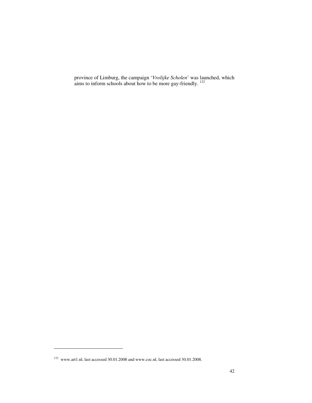province of Limburg, the campaign '*Vrolijke Scholen*' was launched, which aims to inform schools about how to be more gay-friendly.  $122$ 

 $\ddot{ }$ 

<sup>122</sup> www.art1.nl, last accessed 30.01.2008 and www.coc.nl, last accessed 30.01.2008.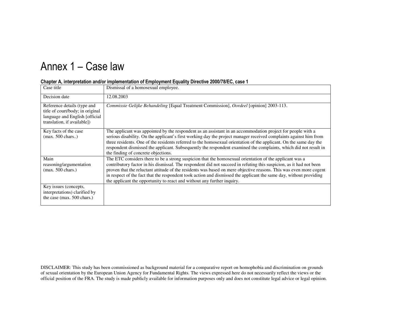# Annex 1 – Case law

| Case title                                                                                                                       | Dismissal of a homosexual employee.                                                                                                                                                                                                                                                                                                                                                                                                                                                                                                                   |
|----------------------------------------------------------------------------------------------------------------------------------|-------------------------------------------------------------------------------------------------------------------------------------------------------------------------------------------------------------------------------------------------------------------------------------------------------------------------------------------------------------------------------------------------------------------------------------------------------------------------------------------------------------------------------------------------------|
| Decision date                                                                                                                    | 12.08.2003                                                                                                                                                                                                                                                                                                                                                                                                                                                                                                                                            |
| Reference details (type and<br>title of court/body; in original<br>language and English [official<br>translation, if available]) | Commissie Gelijke Behandeling [Equal Treatment Commission], Oordeel [opinion] 2003-113.                                                                                                                                                                                                                                                                                                                                                                                                                                                               |
| Key facts of the case<br>$(max. 500 \text{ chars.})$                                                                             | The applicant was appointed by the respondent as an assistant in an accommodation project for people with a<br>serious disability. On the applicant's first working day the project manager received complaints against him from<br>three residents. One of the residents referred to the homosexual orientation of the applicant. On the same day the<br>respondent dismissed the applicant. Subsequently the respondent examined the complaints, which did not result in<br>the finding of concrete objections.                                     |
| Main<br>reasoning/argumentation<br>$(max. 500 \text{ chars.})$                                                                   | The ETC considers there to be a strong suspicion that the homosexual orientation of the applicant was a<br>contributory factor in his dismissal. The respondent did not succeed in refuting this suspicion, as it had not been<br>proven that the reluctant attitude of the residents was based on mere objective reasons. This was even more cogent<br>in respect of the fact that the respondent took action and dismissed the applicant the same day, without providing<br>the applicant the opportunity to react and without any further inquiry. |
| Key issues (concepts,<br>interpretations) clarified by<br>the case (max. 500 chars.)                                             |                                                                                                                                                                                                                                                                                                                                                                                                                                                                                                                                                       |

#### Chapter A, interpretation and/or implementation of Employment Equality Directive 2000/78/EC, case 1

DISCLAIMER: This study has been commissioned as background material for a comparative report on homophobia and discrimination on grounds of sexual orientation by the European Union Agency for Fundamental Rights. The views expressed here do not necessarily reflect the views or the official position of the FRA. The study is made publicly available for information purposes only and does not constitute legal advice or legal opinion.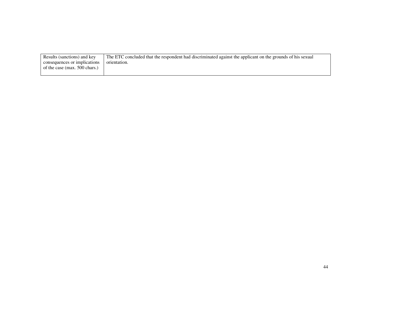| Results (sanctions) and key   | The ETC concluded that the respondent had discriminated against the applicant on the grounds of his sexual |
|-------------------------------|------------------------------------------------------------------------------------------------------------|
| consequences or implications  | orientation.                                                                                               |
| of the case (max. 500 chars.) |                                                                                                            |
|                               |                                                                                                            |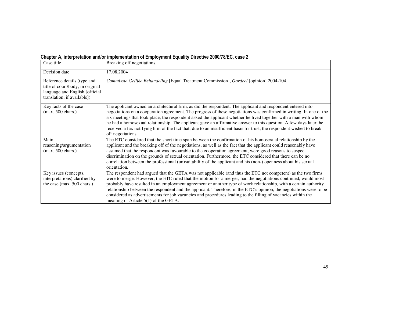| Chapter A, interpretation and/or implementation of Employment Equality Directive 2000/78/EC, case 2 |  |  |  |  |  |  |
|-----------------------------------------------------------------------------------------------------|--|--|--|--|--|--|
|-----------------------------------------------------------------------------------------------------|--|--|--|--|--|--|

| Case title                                                                                                                       | Breaking off negotiations.                                                                                                                                                                                                                                                                                                                                                                                                                                                                                                                                                                                                          |
|----------------------------------------------------------------------------------------------------------------------------------|-------------------------------------------------------------------------------------------------------------------------------------------------------------------------------------------------------------------------------------------------------------------------------------------------------------------------------------------------------------------------------------------------------------------------------------------------------------------------------------------------------------------------------------------------------------------------------------------------------------------------------------|
| Decision date                                                                                                                    | 17.08.2004                                                                                                                                                                                                                                                                                                                                                                                                                                                                                                                                                                                                                          |
| Reference details (type and<br>title of court/body; in original<br>language and English [official<br>translation, if available]) | Commissie Gelijke Behandeling [Equal Treatment Commission], Oordeel [opinion] 2004-104.                                                                                                                                                                                                                                                                                                                                                                                                                                                                                                                                             |
| Key facts of the case<br>$(max. 500 \text{ chars.})$                                                                             | The applicant owned an architectural firm, as did the respondent. The applicant and respondent entered into<br>negotiations on a cooperation agreement. The progress of these negotiations was confirmed in writing. In one of the<br>six meetings that took place, the respondent asked the applicant whether he lived together with a man with whom<br>he had a homosexual relationship. The applicant gave an affirmative answer to this question. A few days later, he<br>received a fax notifying him of the fact that, due to an insufficient basis for trust, the respondent wished to break<br>off negotiations.            |
| Main<br>reasoning/argumentation<br>$(max. 500 \text{ chars.})$                                                                   | The ETC considered that the short time span between the confirmation of his homosexual relationship by the<br>applicant and the breaking off of the negotiations, as well as the fact that the applicant could reasonably have<br>assumed that the respondent was favourable to the cooperation agreement, were good reasons to suspect<br>discrimination on the grounds of sexual orientation. Furthermore, the ETC considered that there can be no<br>correlation between the professional (un)suitability of the applicant and his (non-) openness about his sexual<br>orientation.                                              |
| Key issues (concepts,<br>interpretations) clarified by<br>the case (max. $500$ chars.)                                           | The respondent had argued that the GETA was not applicable (and thus the ETC not competent) as the two firms<br>were to merge. However, the ETC ruled that the motion for a merger, had the negotiations continued, would most<br>probably have resulted in an employment agreement or another type of work relationship, with a certain authority<br>relationship between the respondent and the applicant. Therefore, in the ETC's opinion, the negotiations were to be<br>considered as advertisements for job vacancies and procedures leading to the filling of vacancies within the<br>meaning of Article $5(1)$ of the GETA. |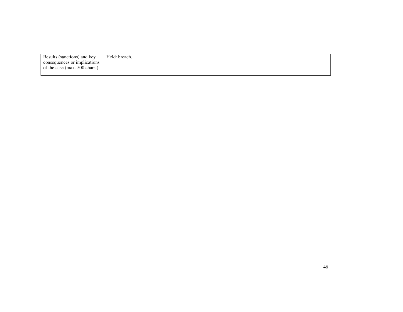| Results (sanctions) and key   | Held: breach. |
|-------------------------------|---------------|
| consequences or implications  |               |
| of the case (max. 500 chars.) |               |
|                               |               |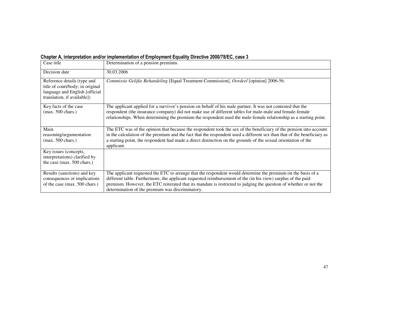| Chapter A, interpretation and/or implementation of Employment Equality Directive 2000/78/EC, case 3 |
|-----------------------------------------------------------------------------------------------------|
|-----------------------------------------------------------------------------------------------------|

| Case title                                                                                                                        | Determination of a pension premium.                                                                                                                                                                                                                                                                                                                                                                   |
|-----------------------------------------------------------------------------------------------------------------------------------|-------------------------------------------------------------------------------------------------------------------------------------------------------------------------------------------------------------------------------------------------------------------------------------------------------------------------------------------------------------------------------------------------------|
| Decision date                                                                                                                     | 30.03.2006                                                                                                                                                                                                                                                                                                                                                                                            |
| Reference details (type and<br>title of court/body; in original<br>language and English [official]<br>translation, if available]) | Commissie Gelijke Behandeling [Equal Treatment Commission], Oordeel [opinion] 2006-56.                                                                                                                                                                                                                                                                                                                |
| Key facts of the case<br>$(max. 500 \text{ chars.})$                                                                              | The applicant applied for a survivor's pension on behalf of his male partner. It was not contested that the<br>respondent (the insurance company) did not make use of different tables for male-male and female-female<br>relationships. When determining the premium the respondent used the male-female relationship as a starting point.                                                           |
| Main                                                                                                                              | The ETC was of the opinion that because the respondent took the sex of the beneficiary of the pension into account                                                                                                                                                                                                                                                                                    |
| reasoning/argumentation<br>$(max. 500 \text{ chars.})$                                                                            | in the calculation of the premium and the fact that the respondent used a different sex than that of the beneficiary as<br>a starting point, the respondent had made a direct distinction on the grounds of the sexual orientation of the<br>applicant.                                                                                                                                               |
| Key issues (concepts,                                                                                                             |                                                                                                                                                                                                                                                                                                                                                                                                       |
| interpretations) clarified by                                                                                                     |                                                                                                                                                                                                                                                                                                                                                                                                       |
| the case (max. 500 chars.)                                                                                                        |                                                                                                                                                                                                                                                                                                                                                                                                       |
| Results (sanctions) and key<br>consequences or implications<br>of the case (max. 500 chars.)                                      | The applicant requested the ETC to arrange that the respondent would determine the premium on the basis of a<br>different table. Furthermore, the applicant requested reimbursement of the (in his view) surplus of the paid<br>premium. However, the ETC reiterated that its mandate is restricted to judging the question of whether or not the<br>determination of the premium was discriminatory. |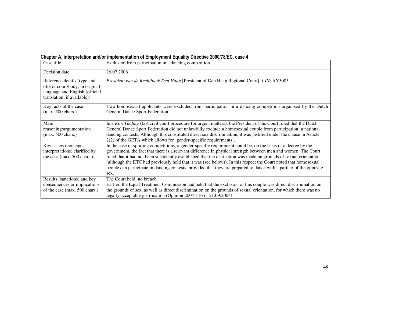| Chapter A, interpretation and/or implementation of Employment Equality Directive 2000/78/EC, case 4 |
|-----------------------------------------------------------------------------------------------------|
|-----------------------------------------------------------------------------------------------------|

| Case title                                                                                                                       | Exclusion from participation in a dancing competition.                                                                                                                                                                                                                                                                                                                                                                                                                                                                                                                                                  |
|----------------------------------------------------------------------------------------------------------------------------------|---------------------------------------------------------------------------------------------------------------------------------------------------------------------------------------------------------------------------------------------------------------------------------------------------------------------------------------------------------------------------------------------------------------------------------------------------------------------------------------------------------------------------------------------------------------------------------------------------------|
| Decision date                                                                                                                    | 26.07.2006                                                                                                                                                                                                                                                                                                                                                                                                                                                                                                                                                                                              |
| Reference details (type and<br>title of court/body; in original<br>language and English [official<br>translation, if available]) | President van de Rechtbank Den Haag [President of Den Haag Regional Court], LJN: AY5005.                                                                                                                                                                                                                                                                                                                                                                                                                                                                                                                |
| Key facts of the case<br>$(max. 500 \text{ chars.})$                                                                             | Two homosexual applicants were excluded from participation in a dancing competition organised by the Dutch<br>General Dance Sport Federation.                                                                                                                                                                                                                                                                                                                                                                                                                                                           |
| Main<br>reasoning/argumentation<br>$(max. 500 \text{ chars.})$                                                                   | In a Kort Geding (fast civil court procedure for urgent matters), the President of the Court ruled that the Dutch<br>General Dance Sport Federation did not unlawfully exclude a homosexual couple from participation in national<br>dancing contests. Although this constituted direct sex discrimination, it was justified under the clause in Article<br>2(2) of the GETA which allows for 'gender-specific requirements'.                                                                                                                                                                           |
| Key issues (concepts,<br>interpretations) clarified by<br>the case (max. 500 chars.)                                             | In the case of sporting competitions, a gender-specific requirement could be, on the basis of a decree by the<br>government, the fact that there is a relevant difference in physical strength between men and women. The Court<br>ruled that it had not been sufficiently established that the distinction was made on grounds of sexual orientation<br>(although the ETC had previously held that it was (see below)). In this respect the Court noted that homosexual<br>people can participate in dancing contests, provided that they are prepared to dance with a partner of the opposite<br>sex. |
| Results (sanctions) and key<br>consequences or implications<br>of the case (max. 500 chars.)                                     | The Court held: no breach.<br>Earlier, the Equal Treatment Commission had held that the exclusion of this couple was direct discrimination on<br>the grounds of sex, as well as direct discrimination on the grounds of sexual orientation, for which there was no<br>legally acceptable justification (Opinion 2004-116 of 21.09.2004).                                                                                                                                                                                                                                                                |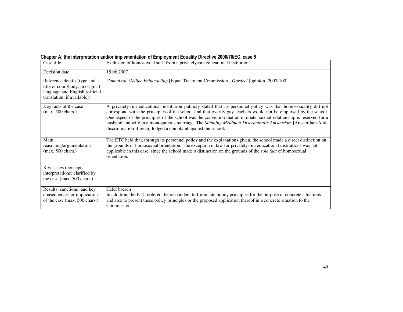| Chapter A, the interpretation and/or implementation of Employment Equality Directive 2000/78/EC, case 5 |
|---------------------------------------------------------------------------------------------------------|
|---------------------------------------------------------------------------------------------------------|

| Case title                                                                                                                       | Exclusion of homosexual staff from a privately-run educational institution.                                                                                                                                                                                                                                                                                                                                                                                                                                                                 |
|----------------------------------------------------------------------------------------------------------------------------------|---------------------------------------------------------------------------------------------------------------------------------------------------------------------------------------------------------------------------------------------------------------------------------------------------------------------------------------------------------------------------------------------------------------------------------------------------------------------------------------------------------------------------------------------|
| Decision date                                                                                                                    | 15.06.2007                                                                                                                                                                                                                                                                                                                                                                                                                                                                                                                                  |
| Reference details (type and<br>title of court/body; in original<br>language and English [official<br>translation, if available]) | Commissie Gelijke Behandeling [Equal Treatment Commission], Oordeel [opinion] 2007-100.                                                                                                                                                                                                                                                                                                                                                                                                                                                     |
| Key facts of the case<br>$(max. 500 \text{ chars.})$                                                                             | A privately-run educational institution publicly stated that its personnel policy was that homosexuality did not<br>correspond with the principles of the school and that overtly gay teachers would not be employed by the school.<br>One aspect of the principles of the school was the conviction that an intimate, sexual relationship is reserved for a<br>husband and wife in a monogamous marriage. The Stichting Meldpunt Discriminatie Amsterdam [Amsterdam Anti-<br>discrimination Bureau] lodged a complaint against the school. |
| Main<br>reasoning/argumentation<br>$(max. 500 \text{ chars.})$                                                                   | The ETC held that, through its personnel policy and the explanations given, the school made a direct distinction on<br>the grounds of homosexual orientation. The exception in law for privately-run educational institutions was not<br>applicable in this case, since the school made a distinction on the grounds of the <i>sole fact</i> of homosexual<br>orientation.                                                                                                                                                                  |
| Key issues (concepts,<br>interpretations) clarified by<br>the case (max. 500 chars.)                                             |                                                                                                                                                                                                                                                                                                                                                                                                                                                                                                                                             |
| Results (sanctions) and key<br>consequences or implications<br>of the case (max. 500 chars.)                                     | Held: breach<br>In addition, the ETC ordered the respondent to formulate policy principles for the purpose of concrete situations<br>and also to present these policy principles or the proposed application thereof in a concrete situation to the<br>Commission.                                                                                                                                                                                                                                                                          |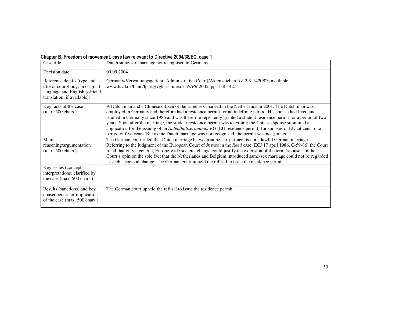#### Chapter B, Freedom of movement, case law relevant to Directive 2004/38/EC, case 1

| Case title                                                                                                                       | Dutch same-sex marriage not recognised in Germany.                                                                                                                                                                                                                                                                                                                                                                                                                                                                                                                                                                                                                                       |
|----------------------------------------------------------------------------------------------------------------------------------|------------------------------------------------------------------------------------------------------------------------------------------------------------------------------------------------------------------------------------------------------------------------------------------------------------------------------------------------------------------------------------------------------------------------------------------------------------------------------------------------------------------------------------------------------------------------------------------------------------------------------------------------------------------------------------------|
| Decision date                                                                                                                    | 09.09.2004                                                                                                                                                                                                                                                                                                                                                                                                                                                                                                                                                                                                                                                                               |
| Reference details (type and<br>title of court/body; in original<br>language and English [official<br>translation, if available]) | Germany/Verwaltungsgericht [Administrative Court]/Aktenzeichen AZ 2 K 1420/03, available at<br>www.lsvd.de/bund/lpartg/vgkarlsruhe.de, NIPR 2005, pp. 138-142.                                                                                                                                                                                                                                                                                                                                                                                                                                                                                                                           |
| Key facts of the case<br>$(max. 500 \text{ chars.})$                                                                             | A Dutch man and a Chinese citizen of the same sex married in the Netherlands in 2001. The Dutch man was<br>employed in Germany and therefore had a residence permit for an indefinite period. His spouse had lived and<br>studied in Germany since 1986 and was therefore repeatedly granted a student residence permit for a period of two<br>years. Soon after the marriage, the student residence permit was to expire; the Chinese spouse submitted an<br>application for the issuing of an <i>Aufenthaltserlaubnis-EG</i> [EU residence permit] for spouses of EU citizens for a<br>period of five years. But as the Dutch marriage was not recognised, the permit was not granted. |
| Main<br>reasoning/argumentation<br>$(max. 500 \text{ chars.})$                                                                   | The German court ruled that Dutch marriage between same-sex partners is not a lawful German marriage.<br>Referring to the judgment of the European Court of Justice in the Reed case (ECJ 17 april 1986, C-59-86) the Court<br>ruled that only a general, Europe-wide societal change could justify the extension of the term 'spouse'. In the<br>Court's opinion the sole fact that the Netherlands and Belgium introduced same-sex marriage could not be regarded<br>as such a societal change. The German court upheld the refusal to issue the residence permit.                                                                                                                     |
| Key issues (concepts,<br>interpretations) clarified by<br>the case (max. 500 chars.)                                             |                                                                                                                                                                                                                                                                                                                                                                                                                                                                                                                                                                                                                                                                                          |
| Results (sanctions) and key<br>consequences or implications<br>of the case (max. 500 chars.)                                     | The German court upheld the refusal to issue the residence permit.                                                                                                                                                                                                                                                                                                                                                                                                                                                                                                                                                                                                                       |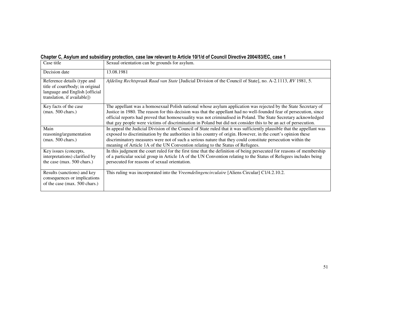| Case title                                                                                                                        | Sexual orientation can be grounds for asylum.                                                                                                                                                                                                                                                                                                                                                                                                                               |
|-----------------------------------------------------------------------------------------------------------------------------------|-----------------------------------------------------------------------------------------------------------------------------------------------------------------------------------------------------------------------------------------------------------------------------------------------------------------------------------------------------------------------------------------------------------------------------------------------------------------------------|
| Decision date                                                                                                                     | 13.08.1981                                                                                                                                                                                                                                                                                                                                                                                                                                                                  |
| Reference details (type and<br>title of court/body; in original<br>language and English [official]<br>translation, if available]) | Afdeling Rechtspraak Raad van State [Judicial Division of the Council of State], no. A-2.1113, RV 1981, 5.                                                                                                                                                                                                                                                                                                                                                                  |
| Key facts of the case<br>$(max. 500 \text{ chars.})$                                                                              | The appellant was a homosexual Polish national whose asylum application was rejected by the State Secretary of<br>Justice in 1980. The reason for this decision was that the appellant had no well-founded fear of persecution, since<br>official reports had proved that homosexuality was not criminalised in Poland. The State Secretary acknowledged<br>that gay people were victims of discrimination in Poland but did not consider this to be an act of persecution. |
| Main                                                                                                                              | In appeal the Judicial Division of the Council of State ruled that it was sufficiently plausible that the appellant was                                                                                                                                                                                                                                                                                                                                                     |
| reasoning/argumentation                                                                                                           | exposed to discrimination by the authorities in his country of origin. However, in the court's opinion these                                                                                                                                                                                                                                                                                                                                                                |
| $(max. 500 \text{ chars.})$                                                                                                       | discriminatory measures were not of such a serious nature that they could constitute persecution within the<br>meaning of Article 1A of the UN Convention relating to the Status of Refugees.                                                                                                                                                                                                                                                                               |
| Key issues (concepts,<br>interpretations) clarified by<br>the case (max. 500 chars.)                                              | In this judgment the court ruled for the first time that the definition of being persecuted for reasons of membership<br>of a particular social group in Article 1A of the UN Convention relating to the Status of Refugees includes being<br>persecuted for reasons of sexual orientation.                                                                                                                                                                                 |
| Results (sanctions) and key<br>consequences or implications<br>of the case (max. 500 chars.)                                      | This ruling was incorporated into the Vreemdelingencirculaire [Aliens Circular] C1/4.2.10.2.                                                                                                                                                                                                                                                                                                                                                                                |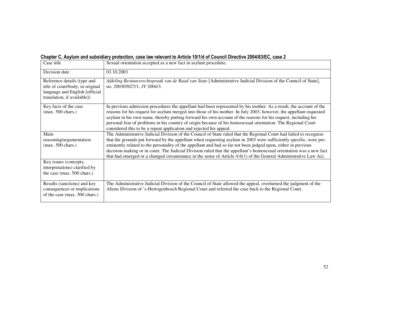| Chapter C, Asylum and subsidiary protection, case law relevant to Article 10/1/d of Council Directive 2004/83/EC, case 2 |  |
|--------------------------------------------------------------------------------------------------------------------------|--|
|--------------------------------------------------------------------------------------------------------------------------|--|

| Case title                                                                                                                        | Sexual orientation accepted as a new fact in asylum procedure.                                                                                                                                                                                                                                                                                                                                                                                                                                                                                                                                       |
|-----------------------------------------------------------------------------------------------------------------------------------|------------------------------------------------------------------------------------------------------------------------------------------------------------------------------------------------------------------------------------------------------------------------------------------------------------------------------------------------------------------------------------------------------------------------------------------------------------------------------------------------------------------------------------------------------------------------------------------------------|
| Decision date                                                                                                                     | 03.10.2003                                                                                                                                                                                                                                                                                                                                                                                                                                                                                                                                                                                           |
| Reference details (type and<br>title of court/body; in original<br>language and English [official]<br>translation, if available]) | Afdeling Bestuursrechtspraak van de Raad van State [Administrative Judicial Division of the Council of State],<br>no. 200305027/1, JV 2004/3.                                                                                                                                                                                                                                                                                                                                                                                                                                                        |
| Key facts of the case<br>$(max. 500 \text{ chars.})$                                                                              | In previous admission procedures the appellant had been represented by his mother. As a result, the account of the<br>reasons for his request for asylum merged into those of his mother. In July 2003, however, the appellant requested<br>asylum in his own name, thereby putting forward his own account of the reasons for his request, including his<br>personal fear of problems in his country of origin because of his homosexual orientation. The Regional Court<br>considered this to be a repeat application and rejected his appeal.                                                     |
| Main<br>reasoning/argumentation<br>$(max. 500 \text{ chars.})$                                                                    | The Administrative Judicial Division of the Council of State ruled that the Regional Court had failed to recognise<br>that the grounds put forward by the appellant when requesting asylum in 2003 were sufficiently specific, were pre-<br>eminently related to the personality of the appellant and had so far not been judged upon, either in previous<br>decision-making or in court. The Judicial Division ruled that the appellant's homosexual orientation was a new fact<br>that had emerged or a changed circumstance in the sense of Article 4:6(1) of the General Administrative Law Act. |
| Key issues (concepts,<br>interpretations) clarified by<br>the case (max. 500 chars.)                                              |                                                                                                                                                                                                                                                                                                                                                                                                                                                                                                                                                                                                      |
| Results (sanctions) and key<br>consequences or implications<br>of the case (max. 500 chars.)                                      | The Administrative Judicial Division of the Council of State allowed the appeal, overturned the judgment of the<br>Aliens Division of 's-Hertogenbosch Regional Court and referred the case back to the Regional Court.                                                                                                                                                                                                                                                                                                                                                                              |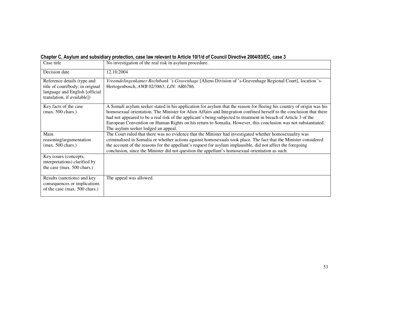|  | Chapter C, Asylum and subsidiary protection, case law relevant to Article 10/1/d of Council Directive 2004/83/EC, case 3 |  |
|--|--------------------------------------------------------------------------------------------------------------------------|--|
|--|--------------------------------------------------------------------------------------------------------------------------|--|

| Case title                                                                                                                        | No investigation of the real risk in asylum procedure.                                                                                                                                                                                                                                                                                                                                                                                                                                                                    |
|-----------------------------------------------------------------------------------------------------------------------------------|---------------------------------------------------------------------------------------------------------------------------------------------------------------------------------------------------------------------------------------------------------------------------------------------------------------------------------------------------------------------------------------------------------------------------------------------------------------------------------------------------------------------------|
| Decision date                                                                                                                     | 12.10.2004                                                                                                                                                                                                                                                                                                                                                                                                                                                                                                                |
| Reference details (type and<br>title of court/body; in original<br>language and English [official]<br>translation, if available]) | Vreemdelingenkamer Rechtbank 's-Gravenhage [Aliens Division of 's-Gravenhage Regional Court], location 's-<br>Hertogenbosch, AWB 02/3863, LJN: AR6786.                                                                                                                                                                                                                                                                                                                                                                    |
| Key facts of the case<br>$(max. 500 \text{ chars.})$                                                                              | A Somali asylum seeker stated in his application for asylum that the reason for fleeing his country of origin was his<br>homosexual orientation. The Minister for Alien Affairs and Integration confined herself to the conclusion that there<br>had not appeared to be a real risk of the applicant's being subjected to treatment in breach of Article 3 of the<br>European Convention on Human Rights on his return to Somalia. However, this conclusion was not substantiated.<br>The asylum seeker lodged an appeal. |
| Main<br>reasoning/argumentation<br>$(max. 500 \text{ chars.})$                                                                    | The Court ruled that there was no evidence that the Minister had investigated whether homosexuality was<br>criminalised in Somalia or whether actions against homosexuals took place. The fact that the Minister considered<br>the account of the reasons for the appellant's request for asylum implausible, did not affect the foregoing<br>conclusion, since the Minister did not question the appellant's homosexual orientation as such.                                                                             |
| Key issues (concepts,<br>interpretations) clarified by<br>the case (max. 500 chars.)                                              |                                                                                                                                                                                                                                                                                                                                                                                                                                                                                                                           |
| Results (sanctions) and key<br>consequences or implications<br>of the case (max. 500 chars.)                                      | The appeal was allowed.                                                                                                                                                                                                                                                                                                                                                                                                                                                                                                   |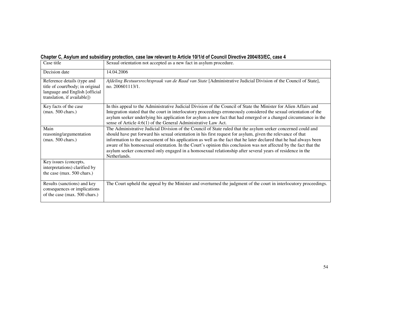|  |  | Chapter C, Asylum and subsidiary protection, case law relevant to Article 10/1/d of Council Directive 2004/83/EC, case 4 |
|--|--|--------------------------------------------------------------------------------------------------------------------------|
|--|--|--------------------------------------------------------------------------------------------------------------------------|

| Case title                                                                                                                       | Sexual orientation not accepted as a new fact in asylum procedure.                                                                                                                                                                                                                                                                                                                                                                                                                                                                                                                                    |
|----------------------------------------------------------------------------------------------------------------------------------|-------------------------------------------------------------------------------------------------------------------------------------------------------------------------------------------------------------------------------------------------------------------------------------------------------------------------------------------------------------------------------------------------------------------------------------------------------------------------------------------------------------------------------------------------------------------------------------------------------|
| Decision date                                                                                                                    | 14.04.2006                                                                                                                                                                                                                                                                                                                                                                                                                                                                                                                                                                                            |
| Reference details (type and<br>title of court/body; in original<br>language and English [official<br>translation, if available]) | Afdeling Bestuursrechtspraak van de Raad van State [Administrative Judicial Division of the Council of State],<br>no. 200601113/1.                                                                                                                                                                                                                                                                                                                                                                                                                                                                    |
| Key facts of the case<br>$(max. 500 \text{ chars.})$                                                                             | In this appeal to the Administrative Judicial Division of the Council of State the Minister for Alien Affairs and<br>Integration stated that the court in interlocutory proceedings erroneously considered the sexual orientation of the<br>asylum seeker underlying his application for asylum a new fact that had emerged or a changed circumstance in the<br>sense of Article 4:6(1) of the General Administrative Law Act.                                                                                                                                                                        |
| Main<br>reasoning/argumentation<br>$(max. 500 \text{ chars.})$                                                                   | The Administrative Judicial Division of the Council of State ruled that the asylum seeker concerned could and<br>should have put forward his sexual orientation in his first request for asylum, given the relevance of that<br>information to the assessment of his application as well as the fact that he later declared that he had always been<br>aware of his homosexual orientation. In the Court's opinion this conclusion was not affected by the fact that the<br>asylum seeker concerned only engaged in a homosexual relationship after several years of residence in the<br>Netherlands. |
| Key issues (concepts,<br>interpretations) clarified by<br>the case (max. 500 chars.)                                             |                                                                                                                                                                                                                                                                                                                                                                                                                                                                                                                                                                                                       |
| Results (sanctions) and key<br>consequences or implications<br>of the case (max. 500 chars.)                                     | The Court upheld the appeal by the Minister and overturned the judgment of the court in interlocutory proceedings.                                                                                                                                                                                                                                                                                                                                                                                                                                                                                    |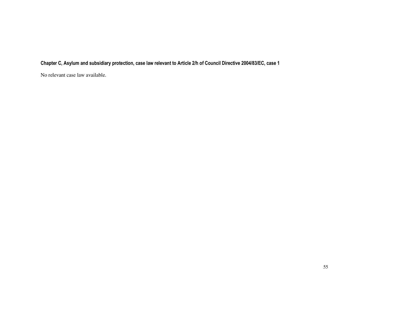### Chapter C, Asylum and subsidiary protection, case law relevant to Article 2/h of Council Directive 2004/83/EC, case 1

No relevant case law available.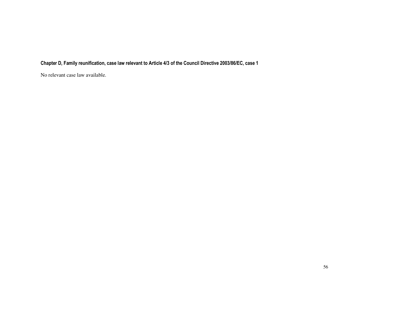### Chapter D, Family reunification, case law relevant to Article 4/3 of the Council Directive 2003/86/EC, case 1

No relevant case law available.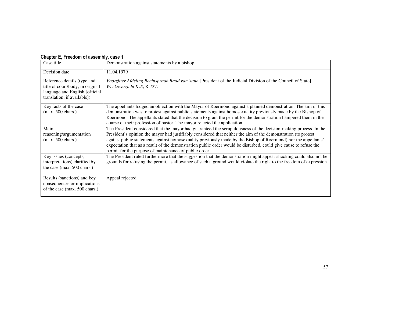#### Chapter E, Freedom of assembly, case 1

| Case title                                                                                                                       | Demonstration against statements by a bishop.                                                                                                                                                                                                                                                                                                                                                                                                                                                                                       |
|----------------------------------------------------------------------------------------------------------------------------------|-------------------------------------------------------------------------------------------------------------------------------------------------------------------------------------------------------------------------------------------------------------------------------------------------------------------------------------------------------------------------------------------------------------------------------------------------------------------------------------------------------------------------------------|
| Decision date                                                                                                                    | 11.04.1979                                                                                                                                                                                                                                                                                                                                                                                                                                                                                                                          |
| Reference details (type and<br>title of court/body; in original<br>language and English [official<br>translation, if available]) | Voorzitter Afdeling Rechtspraak Raad van State [President of the Judicial Division of the Council of State]<br>Weekoverzicht RvS, R.737.                                                                                                                                                                                                                                                                                                                                                                                            |
| Key facts of the case<br>$(max. 500 \text{ chars.})$                                                                             | The appellants lodged an objection with the Mayor of Roermond against a planned demonstration. The aim of this<br>demonstration was to protest against public statements against homosexuality previously made by the Bishop of<br>Roermond. The appellants stated that the decision to grant the permit for the demonstration hampered them in the<br>course of their profession of pastor. The mayor rejected the application.                                                                                                    |
| Main<br>reasoning/argumentation<br>$(max. 500 \text{ chars.})$                                                                   | The President considered that the mayor had guaranteed the scrupulousness of the decision-making process. In the<br>President's opinion the mayor had justifiably considered that neither the aim of the demonstration (to protest<br>against public statements against homosexuality previously made by the Bishop of Roermond) nor the appellants'<br>expectation that as a result of the demonstration public order would be disturbed, could give cause to refuse the<br>permit for the purpose of maintenance of public order. |
| Key issues (concepts,<br>interpretations) clarified by<br>the case (max. 500 chars.)                                             | The President ruled furthermore that the suggestion that the demonstration might appear shocking could also not be<br>grounds for refusing the permit, as allowance of such a ground would violate the right to the freedom of expression.                                                                                                                                                                                                                                                                                          |
| Results (sanctions) and key<br>consequences or implications<br>of the case (max. 500 chars.)                                     | Appeal rejected.                                                                                                                                                                                                                                                                                                                                                                                                                                                                                                                    |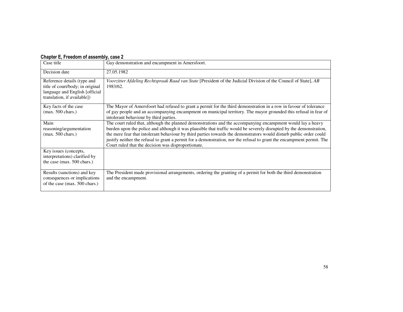#### Chapter E, Freedom of assembly, case 2

| Case title                                                                                                                       | Gay demonstration and encampment in Amersfoort.                                                                                                                                                                                                                                                                                                                                                                                                                                                                                            |
|----------------------------------------------------------------------------------------------------------------------------------|--------------------------------------------------------------------------------------------------------------------------------------------------------------------------------------------------------------------------------------------------------------------------------------------------------------------------------------------------------------------------------------------------------------------------------------------------------------------------------------------------------------------------------------------|
| Decision date                                                                                                                    | 27.05.1982                                                                                                                                                                                                                                                                                                                                                                                                                                                                                                                                 |
| Reference details (type and<br>title of court/body; in original<br>language and English [official<br>translation, if available]) | Voorzitter Afdeling Rechtspraak Raad van State [President of the Judicial Division of the Council of State], AB<br>1983/62.                                                                                                                                                                                                                                                                                                                                                                                                                |
| Key facts of the case<br>$(max. 500 \text{ chars.})$                                                                             | The Mayor of Amersfoort had refused to grant a permit for the third demonstration in a row in favour of tolerance<br>of gay people and an accompanying encampment on municipal territory. The mayor grounded this refusal in fear of<br>intolerant behaviour by third parties.                                                                                                                                                                                                                                                             |
| Main<br>reasoning/argumentation<br>$(max. 500 \text{ chars.})$                                                                   | The court ruled that, although the planned demonstrations and the accompanying encampment would lay a heavy<br>burden upon the police and although it was plausible that traffic would be severely disrupted by the demonstration,<br>the mere fear that intolerant behaviour by third parties towards the demonstrators would disturb public order could<br>justify neither the refusal to grant a permit for a demonstration, nor the refusal to grant the encampment permit. The<br>Court ruled that the decision was disproportionate. |
| Key issues (concepts,<br>interpretations) clarified by<br>the case (max. 500 chars.)                                             |                                                                                                                                                                                                                                                                                                                                                                                                                                                                                                                                            |
| Results (sanctions) and key<br>consequences or implications<br>of the case (max. 500 chars.)                                     | The President made provisional arrangements, ordering the granting of a permit for both the third demonstration<br>and the encampment.                                                                                                                                                                                                                                                                                                                                                                                                     |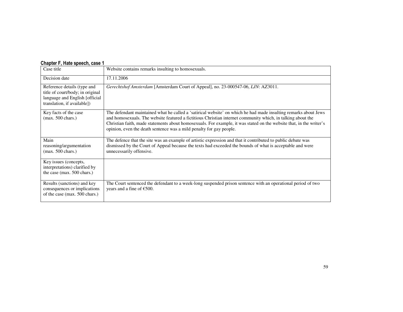| $\frac{1}{2}$                                                                                                                    |                                                                                                                                                                                                                                                                                                                                                                                                                              |
|----------------------------------------------------------------------------------------------------------------------------------|------------------------------------------------------------------------------------------------------------------------------------------------------------------------------------------------------------------------------------------------------------------------------------------------------------------------------------------------------------------------------------------------------------------------------|
| Case title                                                                                                                       | Website contains remarks insulting to homosexuals.                                                                                                                                                                                                                                                                                                                                                                           |
| Decision date                                                                                                                    | 17.11.2006                                                                                                                                                                                                                                                                                                                                                                                                                   |
| Reference details (type and<br>title of court/body; in original<br>language and English [official<br>translation, if available]) | Gerechtshof Amsterdam [Amsterdam Court of Appeal], no. 23-000547-06, LJN: AZ3011.                                                                                                                                                                                                                                                                                                                                            |
| Key facts of the case<br>$(max. 500 \text{ chars.})$                                                                             | The defendant maintained what he called a 'satirical website' on which he had made insulting remarks about Jews<br>and homosexuals. The website featured a fictitious Christian internet community which, in talking about the<br>Christian faith, made statements about homosexuals. For example, it was stated on the website that, in the writer's<br>opinion, even the death sentence was a mild penalty for gay people. |
| Main<br>reasoning/argumentation<br>$(max. 500 \text{ chars.})$                                                                   | The defence that the site was an example of artistic expression and that it contributed to public debate was<br>dismissed by the Court of Appeal because the texts had exceeded the bounds of what is acceptable and were<br>unnecessarily offensive.                                                                                                                                                                        |
| Key issues (concepts,<br>interpretations) clarified by<br>the case (max. 500 chars.)                                             |                                                                                                                                                                                                                                                                                                                                                                                                                              |
| Results (sanctions) and key<br>consequences or implications<br>of the case (max. 500 chars.)                                     | The Court sentenced the defendant to a week-long suspended prison sentence with an operational period of two<br>years and a fine of $£500$ .                                                                                                                                                                                                                                                                                 |

#### Chapter F, Hate speech, case 1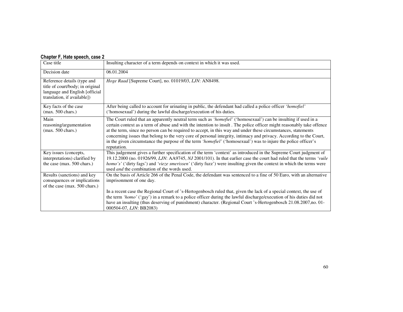### Chapter F, Hate speech, case 2

| Case title                                                                                                                       | Insulting character of a term depends on context in which it was used.                                                                                                                                                                                                                                                                                                                                                                                                                                                                                                                                            |
|----------------------------------------------------------------------------------------------------------------------------------|-------------------------------------------------------------------------------------------------------------------------------------------------------------------------------------------------------------------------------------------------------------------------------------------------------------------------------------------------------------------------------------------------------------------------------------------------------------------------------------------------------------------------------------------------------------------------------------------------------------------|
| Decision date                                                                                                                    | 06.01.2004                                                                                                                                                                                                                                                                                                                                                                                                                                                                                                                                                                                                        |
| Reference details (type and<br>title of court/body; in original<br>language and English [official<br>translation, if available]) | Hoge Raad [Supreme Court], no. 01019/03, LJN: AN8498.                                                                                                                                                                                                                                                                                                                                                                                                                                                                                                                                                             |
| Key facts of the case<br>$(max. 500 \text{ chars.})$                                                                             | After being called to account for urinating in public, the defendant had called a police officer 'homofiel'<br>('homosexual') during the lawful discharge/execution of his duties.                                                                                                                                                                                                                                                                                                                                                                                                                                |
| Main<br>reasoning/argumentation<br>$(max. 500 \text{ chars.})$                                                                   | The Court ruled that an apparently neutral term such as 'homofiel' ('homosexual') can be insulting if used in a<br>certain context as a term of abuse and with the intention to insult. The police officer might reasonably take offence<br>at the term, since no person can be required to accept, in this way and under these circumstances, statements<br>concerning issues that belong to the very core of personal integrity, intimacy and privacy. According to the Court,<br>in the given circumstance the purpose of the term 'homofiel' ('homosexual') was to injure the police officer's<br>reputation. |
| Key issues (concepts,<br>interpretations) clarified by<br>the case (max. 500 chars.)                                             | This judgement gives a further specification of the term 'context' as introduced in the Supreme Court judgment of<br>19.12.2000 (no. 01926/99, LJN: AA9745, NJ 2001/101). In that earlier case the court had ruled that the terms 'vuile<br>homo's' ('dirty fags') and 'vieze smerissen' ('dirty fuzz') were insulting given the context in which the terms were<br>used <i>and</i> the combination of the words used.                                                                                                                                                                                            |
| Results (sanctions) and key<br>consequences or implications<br>of the case (max. 500 chars.)                                     | On the basis of Article 266 of the Penal Code, the defendant was sentenced to a fine of 50 Euro, with an alternative<br>imprisonment of one day.<br>In a recent case the Regional Court of 's-Hertogenbosch ruled that, given the lack of a special context, the use of<br>the term 'homo' ('gay') in a remark to a police officer during the lawful discharge/execution of his duties did not<br>have an insulting (thus deserving of punishment) character. (Regional Court 's-Hertogenbosch 21.08.2007,no. 01-<br>000504-07, LJN: BB2083)                                                                      |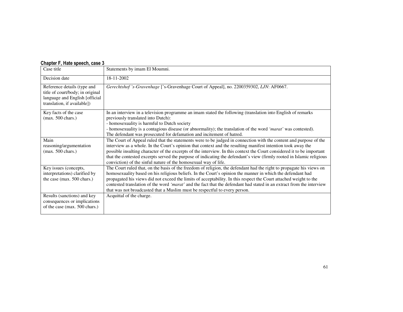|  |  | Chapter F, Hate speech, case 3 |  |
|--|--|--------------------------------|--|
|--|--|--------------------------------|--|

| Case title                                                                                                                       | Statements by imam El Moumni.                                                                                                                                                                                                                                                                                                                                                                                                                                                                                                                                  |
|----------------------------------------------------------------------------------------------------------------------------------|----------------------------------------------------------------------------------------------------------------------------------------------------------------------------------------------------------------------------------------------------------------------------------------------------------------------------------------------------------------------------------------------------------------------------------------------------------------------------------------------------------------------------------------------------------------|
| Decision date                                                                                                                    | 18-11-2002                                                                                                                                                                                                                                                                                                                                                                                                                                                                                                                                                     |
| Reference details (type and<br>title of court/body; in original<br>language and English [official<br>translation, if available]) | Gerechtshof 's-Gravenhage ['s-Gravenhage Court of Appeal], no. 2200359302, LJN: AF0667.                                                                                                                                                                                                                                                                                                                                                                                                                                                                        |
| Key facts of the case<br>$(max. 500 \text{ chars.})$                                                                             | In an interview in a television programme an imam stated the following (translation into English of remarks<br>previously translated into Dutch):<br>- homosexuality is harmful to Dutch society<br>- homosexuality is a contagious disease (or abnormality); the translation of the word 'marat' was contested).<br>The defendant was prosecuted for defamation and incitement of hatred.                                                                                                                                                                     |
| Main<br>reasoning/argumentation<br>$(max. 500 \text{ chars.})$                                                                   | The Court of Appeal ruled that the statements were to be judged in connection with the content and purpose of the<br>interview as a whole. In the Court's opinion that context and the resulting manifest intention took away the<br>possible insulting character of the excerpts of the interview. In this context the Court considered it to be important<br>that the contested excerpts served the purpose of indicating the defendant's view (firmly rooted in Islamic religious<br>conviction) of the sinful nature of the homosexual way of life.        |
| Key issues (concepts,<br>interpretations) clarified by<br>the case (max. 500 chars.)                                             | The Court ruled that, on the basis of the freedom of religion, the defendant had the right to propagate his views on<br>homosexuality based on his religious beliefs. In the Court's opinion the manner in which the defendant had<br>propagated his views did not exceed the limits of acceptability. In this respect the Court attached weight to the<br>contested translation of the word 'marat' and the fact that the defendant had stated in an extract from the interview<br>that was not broadcasted that a Muslim must be respectful to every person. |
| Results (sanctions) and key<br>consequences or implications<br>of the case (max. 500 chars.)                                     | Acquittal of the charge.                                                                                                                                                                                                                                                                                                                                                                                                                                                                                                                                       |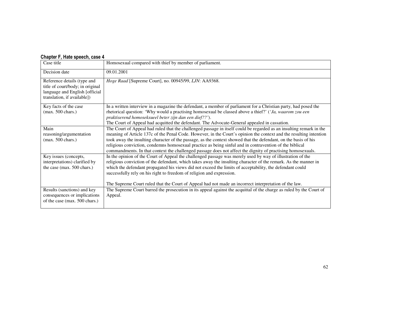#### Chapter F, Hate speech, case 4

| Case title                                                                                                                       | Homosexual compared with thief by member of parliament.                                                                                                                                                                                                                                                                                                                                                                                                                                                                                                                                |
|----------------------------------------------------------------------------------------------------------------------------------|----------------------------------------------------------------------------------------------------------------------------------------------------------------------------------------------------------------------------------------------------------------------------------------------------------------------------------------------------------------------------------------------------------------------------------------------------------------------------------------------------------------------------------------------------------------------------------------|
| Decision date                                                                                                                    | 09.01.2001                                                                                                                                                                                                                                                                                                                                                                                                                                                                                                                                                                             |
| Reference details (type and<br>title of court/body; in original<br>language and English [official<br>translation, if available]) | Hoge Raad [Supreme Court], no. 00945/99, LJN: AA9368.                                                                                                                                                                                                                                                                                                                                                                                                                                                                                                                                  |
| Key facts of the case<br>$(max. 500 \text{ chars.})$                                                                             | In a written interview in a magazine the defendant, a member of parliament for a Christian party, had posed the<br>rhetorical question: 'Why would a practising homosexual be classed above a thief?' ('Ja, waarom zou een<br>praktiserend homoseksueel beter zijn dan een dief??').<br>The Court of Appeal had acquitted the defendant. The Advocate-General appealed in cassation.                                                                                                                                                                                                   |
| Main<br>reasoning/argumentation<br>$(max. 500 \text{ chars.})$                                                                   | The Court of Appeal had ruled that the challenged passage in itself could be regarded as an insulting remark in the<br>meaning of Article 137c of the Penal Code. However, in the Court's opinion the context and the resulting intention<br>took away the insulting character of the passage, as the context showed that the defendant, on the basis of his<br>religious conviction, condemns homosexual practice as being sinful and in contravention of the biblical<br>commandments. In that context the challenged passage does not affect the dignity of practising homosexuals. |
| Key issues (concepts,<br>interpretations) clarified by<br>the case (max. 500 chars.)                                             | In the opinion of the Court of Appeal the challenged passage was merely used by way of illustration of the<br>religious conviction of the defendant, which takes away the insulting character of the remark. As the manner in<br>which the defendant propagated his views did not exceed the limits of acceptability, the defendant could<br>successfully rely on his right to freedom of religion and expression.<br>The Supreme Court ruled that the Court of Appeal had not made an incorrect interpretation of the law.                                                            |
| Results (sanctions) and key<br>consequences or implications<br>of the case (max. 500 chars.)                                     | The Supreme Court barred the prosecution in its appeal against the acquittal of the charge as ruled by the Court of<br>Appeal.                                                                                                                                                                                                                                                                                                                                                                                                                                                         |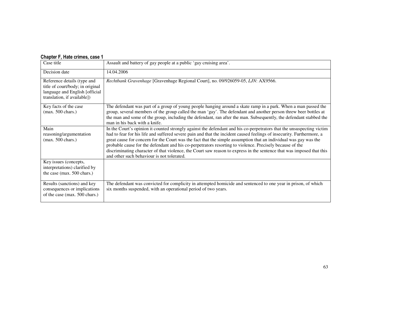### Chapter F, Hate crimes, case 1

| Case title                                                                                                                       | Assault and battery of gay people at a public 'gay cruising area'.                                                                                                                                                                                                                                                                                                                                                                                                                                                                                                                                                                                    |
|----------------------------------------------------------------------------------------------------------------------------------|-------------------------------------------------------------------------------------------------------------------------------------------------------------------------------------------------------------------------------------------------------------------------------------------------------------------------------------------------------------------------------------------------------------------------------------------------------------------------------------------------------------------------------------------------------------------------------------------------------------------------------------------------------|
| Decision date                                                                                                                    | 14.04.2006                                                                                                                                                                                                                                                                                                                                                                                                                                                                                                                                                                                                                                            |
| Reference details (type and<br>title of court/body; in original<br>language and English [official<br>translation, if available]) | Rechtbank Gravenhage [Gravenhage Regional Court], no. 09/926059-05, LJN: AX9566.                                                                                                                                                                                                                                                                                                                                                                                                                                                                                                                                                                      |
| Key facts of the case<br>$(max. 500 \text{ chars.})$                                                                             | The defendant was part of a group of young people hanging around a skate ramp in a park. When a man passed the<br>group, several members of the group called the man 'gay'. The defendant and another person threw beer bottles at<br>the man and some of the group, including the defendant, ran after the man. Subsequently, the defendant stabbed the<br>man in his back with a knife.                                                                                                                                                                                                                                                             |
| Main<br>reasoning/argumentation<br>$(max. 500 \text{ chars.})$                                                                   | In the Court's opinion it counted strongly against the defendant and his co-perpetrators that the unsuspecting victim<br>had to fear for his life and suffered severe pain and that the incident caused feelings of insecurity. Furthermore, a<br>great cause for concern for the Court was the fact that the simple assumption that an individual was gay was the<br>probable cause for the defendant and his co-perpetrators resorting to violence. Precisely because of the<br>discriminating character of that violence, the Court saw reason to express in the sentence that was imposed that this<br>and other such behaviour is not tolerated. |
| Key issues (concepts,<br>interpretations) clarified by<br>the case (max. 500 chars.)                                             |                                                                                                                                                                                                                                                                                                                                                                                                                                                                                                                                                                                                                                                       |
| Results (sanctions) and key<br>consequences or implications<br>of the case (max. 500 chars.)                                     | The defendant was convicted for complicity in attempted homicide and sentenced to one year in prison, of which<br>six months suspended, with an operational period of two years.                                                                                                                                                                                                                                                                                                                                                                                                                                                                      |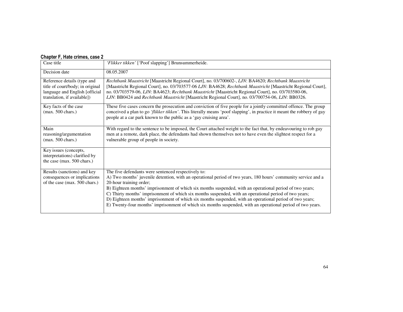### Chapter F, Hate crimes, case 2

| Case title                                                                                                                       | 'Flikker tikken' ['Poof slapping'] Brunsummerheide.                                                                                                                                                                                                                                                                                                                                                                                                                                                                                                                                                                                               |
|----------------------------------------------------------------------------------------------------------------------------------|---------------------------------------------------------------------------------------------------------------------------------------------------------------------------------------------------------------------------------------------------------------------------------------------------------------------------------------------------------------------------------------------------------------------------------------------------------------------------------------------------------------------------------------------------------------------------------------------------------------------------------------------------|
| Decision date                                                                                                                    | 08.05.2007                                                                                                                                                                                                                                                                                                                                                                                                                                                                                                                                                                                                                                        |
| Reference details (type and<br>title of court/body; in original<br>language and English [official<br>translation, if available]) | Rechtbank Maastricht [Maastricht Regional Court], no. 03/700602-, LJN: BA4620; Rechtbank Maastricht<br>[Maastricht Regional Court], no. 03/703577-06 LJN: BA4628; Rechtbank Maastricht [Maastricht Regional Court],<br>no. 03/703579-06, LJN: BA4623; Rechtbank Maastricht [Maastricht Regional Court], no. 03/703580-06,<br>LJN: BB0424 and Rechtbank Maastricht [Maastricht Regional Court], no. 03/700754-06, LJN: BB0326.                                                                                                                                                                                                                     |
| Key facts of the case<br>$(max. 500 \text{ chars.})$                                                                             | These five cases concern the prosecution and conviction of five people for a jointly committed offence. The group<br>conceived a plan to go 'flikker tikken'. This literally means 'poof slapping', in practice it meant the robbery of gay<br>people at a car park known to the public as a 'gay cruising area'.                                                                                                                                                                                                                                                                                                                                 |
| Main<br>reasoning/argumentation<br>$(max. 500 \text{ chars.})$                                                                   | With regard to the sentence to be imposed, the Court attached weight to the fact that, by endeavouring to rob gay<br>men at a remote, dark place, the defendants had shown themselves not to have even the slightest respect for a<br>vulnerable group of people in society.                                                                                                                                                                                                                                                                                                                                                                      |
| Key issues (concepts,<br>interpretations) clarified by<br>the case (max. 500 chars.)                                             |                                                                                                                                                                                                                                                                                                                                                                                                                                                                                                                                                                                                                                                   |
| Results (sanctions) and key<br>consequences or implications<br>of the case (max. 500 chars.)                                     | The five defendants were sentenced respectively to:<br>A) Two months' juvenile detention, with an operational period of two years, 180 hours' community service and a<br>20-hour training order;<br>B) Eighteen months' imprisonment of which six months suspended, with an operational period of two years;<br>C) Thirty months' imprisonment of which six months suspended, with an operational period of two years;<br>D) Eighteen months' imprisonment of which six months suspended, with an operational period of two years;<br>E) Twenty-four months' imprisonment of which six months suspended, with an operational period of two years. |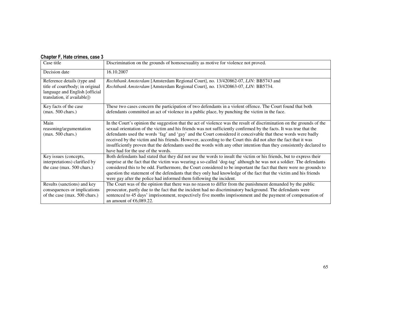### Chapter F, Hate crimes, case 3

| Case title                                                                                                                       | Discrimination on the grounds of homosexuality as motive for violence not proved.                                                                                                                                                                                                                                                                                                                                                                                                                                                                                                                                                             |
|----------------------------------------------------------------------------------------------------------------------------------|-----------------------------------------------------------------------------------------------------------------------------------------------------------------------------------------------------------------------------------------------------------------------------------------------------------------------------------------------------------------------------------------------------------------------------------------------------------------------------------------------------------------------------------------------------------------------------------------------------------------------------------------------|
| Decision date                                                                                                                    | 16.10.2007                                                                                                                                                                                                                                                                                                                                                                                                                                                                                                                                                                                                                                    |
| Reference details (type and<br>title of court/body; in original<br>language and English [official<br>translation, if available]) | Rechtbank Amsterdam [Amsterdam Regional Court], no. 13/420862-07, LJN: BB5743 and<br>Rechtbank Amsterdam [Amsterdam Regional Court], no. 13/420863-07, LJN: BB5734.                                                                                                                                                                                                                                                                                                                                                                                                                                                                           |
| Key facts of the case<br>$(max. 500 \text{ chars.})$                                                                             | These two cases concern the participation of two defendants in a violent offence. The Court found that both<br>defendants committed an act of violence in a public place, by punching the victim in the face.                                                                                                                                                                                                                                                                                                                                                                                                                                 |
| Main<br>reasoning/argumentation<br>$(max. 500 \text{ chars.})$                                                                   | In the Court's opinion the suggestion that the act of violence was the result of discrimination on the grounds of the<br>sexual orientation of the victim and his friends was not sufficiently confirmed by the facts. It was true that the<br>defendants used the words 'fag' and 'gay' and the Court considered it conceivable that these words were badly<br>received by the victim and his friends. However, according to the Court this did not alter the fact that it was<br>insufficiently proven that the defendants used the words with any other intention than they consistently declared to<br>have had for the use of the words. |
| Key issues (concepts,<br>interpretations) clarified by<br>the case (max. 500 chars.)                                             | Both defendants had stated that they did not use the words to insult the victim or his friends, but to express their<br>surprise at the fact that the victim was wearing a so-called 'dog-tag' although he was not a soldier. The defendants<br>considered this to be odd. Furthermore, the Court considered to be important the fact that there were no grounds to<br>question the statement of the defendants that they only had knowledge of the fact that the victim and his friends<br>were gay after the police had informed them following the incident.                                                                               |
| Results (sanctions) and key<br>consequences or implications<br>of the case (max. 500 chars.)                                     | The Court was of the opinion that there was no reason to differ from the punishment demanded by the public<br>prosecutor, partly due to the fact that the incident had no discriminatory background. The defendants were<br>sentenced to 45 days' imprisonment, respectively five months imprisonment and the payment of compensation of<br>an amount of $\epsilon$ 6,089.22.                                                                                                                                                                                                                                                                 |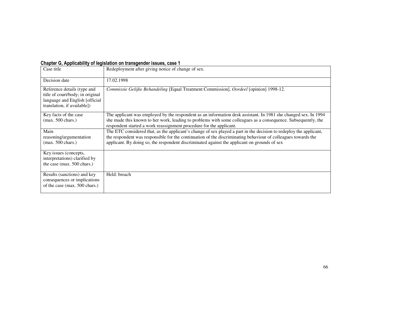|  |  | Chapter G, Applicability of legislation on transgender issues, case 1 |
|--|--|-----------------------------------------------------------------------|
|--|--|-----------------------------------------------------------------------|

| Case title                                                                                                                        | Redeployment after giving notice of change of sex.                                                                                                                                                                                                                                                                                  |
|-----------------------------------------------------------------------------------------------------------------------------------|-------------------------------------------------------------------------------------------------------------------------------------------------------------------------------------------------------------------------------------------------------------------------------------------------------------------------------------|
| Decision date                                                                                                                     | 17.02.1998                                                                                                                                                                                                                                                                                                                          |
| Reference details (type and<br>title of court/body; in original<br>language and English [official]<br>translation, if available]) | Commissie Gelijke Behandeling [Equal Treatment Commission], Oordeel [opinion] 1998-12.                                                                                                                                                                                                                                              |
| Key facts of the case<br>$(max. 500 \text{ chars.})$                                                                              | The applicant was employed by the respondent as an information desk assistant. In 1981 she changed sex. In 1994<br>she made this known to her work, leading to problems with some colleagues as a consequence. Subsequently, the<br>respondent started a work reassignment procedure for the applicant.                             |
| Main<br>reasoning/argumentation<br>$(max. 500 \text{ chars.})$                                                                    | The ETC considered that, as the applicant's change of sex played a part in the decision to redeploy the applicant,<br>the respondent was responsible for the continuation of the discriminating behaviour of colleagues towards the<br>applicant. By doing so, the respondent discriminated against the applicant on grounds of sex |
| Key issues (concepts,<br>interpretations) clarified by<br>the case (max. 500 chars.)                                              |                                                                                                                                                                                                                                                                                                                                     |
| Results (sanctions) and key<br>consequences or implications<br>of the case (max. 500 chars.)                                      | Held: breach                                                                                                                                                                                                                                                                                                                        |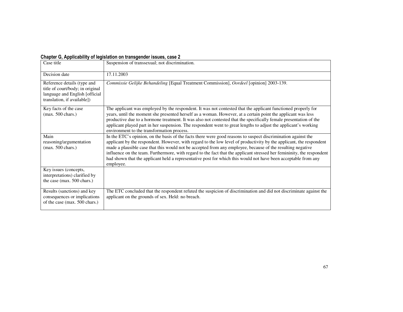| Case title                                                                                                                       | Suspension of transsexual; not discrimination.                                                                                                                                                                                                                                                                                                                                                                                                                                                                                                                                                              |
|----------------------------------------------------------------------------------------------------------------------------------|-------------------------------------------------------------------------------------------------------------------------------------------------------------------------------------------------------------------------------------------------------------------------------------------------------------------------------------------------------------------------------------------------------------------------------------------------------------------------------------------------------------------------------------------------------------------------------------------------------------|
| Decision date                                                                                                                    | 17.11.2003                                                                                                                                                                                                                                                                                                                                                                                                                                                                                                                                                                                                  |
| Reference details (type and<br>title of court/body; in original<br>language and English [official<br>translation, if available]) | Commissie Gelijke Behandeling [Equal Treatment Commission], Oordeel [opinion] 2003-139.                                                                                                                                                                                                                                                                                                                                                                                                                                                                                                                     |
| Key facts of the case<br>$(max. 500 \text{ chars.})$                                                                             | The applicant was employed by the respondent. It was not contested that the applicant functioned properly for<br>years, until the moment she presented herself as a woman. However, at a certain point the applicant was less<br>productive due to a hormone treatment. It was also not contested that the specifically female presentation of the<br>applicant played part in her suspension. The respondent went to great lengths to adjust the applicant's working<br>environment to the transformation process.                                                                                         |
| Main<br>reasoning/argumentation<br>$(max. 500 \text{ chars.})$                                                                   | In the ETC's opinion, on the basis of the facts there were good reasons to suspect discrimination against the<br>applicant by the respondent. However, with regard to the low level of productivity by the applicant, the respondent<br>made a plausible case that this would not be accepted from any employee, because of the resulting negative<br>influence on the team. Furthermore, with regard to the fact that the applicant stressed her femininity, the respondent<br>had shown that the applicant held a representative post for which this would not have been acceptable from any<br>employee. |
| Key issues (concepts,<br>interpretations) clarified by<br>the case (max. 500 chars.)                                             |                                                                                                                                                                                                                                                                                                                                                                                                                                                                                                                                                                                                             |
| Results (sanctions) and key<br>consequences or implications<br>of the case (max. 500 chars.)                                     | The ETC concluded that the respondent refuted the suspicion of discrimination and did not discriminate against the<br>applicant on the grounds of sex. Held: no breach.                                                                                                                                                                                                                                                                                                                                                                                                                                     |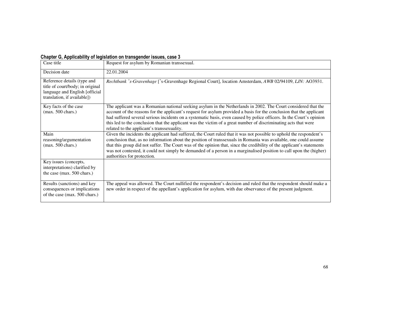| Case title                                                                                                                        | Request for asylum by Romanian transsexual.                                                                                                                                                                                                                                                                                                                                                                                                                                                                                     |
|-----------------------------------------------------------------------------------------------------------------------------------|---------------------------------------------------------------------------------------------------------------------------------------------------------------------------------------------------------------------------------------------------------------------------------------------------------------------------------------------------------------------------------------------------------------------------------------------------------------------------------------------------------------------------------|
|                                                                                                                                   |                                                                                                                                                                                                                                                                                                                                                                                                                                                                                                                                 |
| Decision date                                                                                                                     | 22.01.2004                                                                                                                                                                                                                                                                                                                                                                                                                                                                                                                      |
| Reference details (type and<br>title of court/body; in original<br>language and English [official]<br>translation, if available]) | Rechtbank 's-Gravenhage ['s-Gravenhage Regional Court], location Amsterdam, AWB 02/94109, LJN: AO3931.                                                                                                                                                                                                                                                                                                                                                                                                                          |
| Key facts of the case<br>$(max. 500 \text{ chars.})$                                                                              | The applicant was a Romanian national seeking asylum in the Netherlands in 2002. The Court considered that the<br>account of the reasons for the applicant's request for asylum provided a basis for the conclusion that the applicant<br>had suffered several serious incidents on a systematic basis, even caused by police officers. In the Court's opinion<br>this led to the conclusion that the applicant was the victim of a great number of discriminating acts that were<br>related to the applicant's transsexuality. |
| Main<br>reasoning/argumentation<br>$(max. 500 \text{ chars.})$                                                                    | Given the incidents the applicant had suffered, the Court ruled that it was not possible to uphold the respondent's<br>conclusion that, as no information about the position of transsexuals in Romania was available, one could assume<br>that this group did not suffer. The Court was of the opinion that, since the credibility of the applicant's statements<br>was not contested, it could not simply be demanded of a person in a marginalised position to call upon the (higher)<br>authorities for protection.         |
| Key issues (concepts,<br>interpretations) clarified by<br>the case (max. 500 chars.)                                              |                                                                                                                                                                                                                                                                                                                                                                                                                                                                                                                                 |
| Results (sanctions) and key<br>consequences or implications<br>of the case (max. 500 chars.)                                      | The appeal was allowed. The Court nullified the respondent's decision and ruled that the respondent should make a<br>new order in respect of the appellant's application for asylum, with due observance of the present judgment.                                                                                                                                                                                                                                                                                               |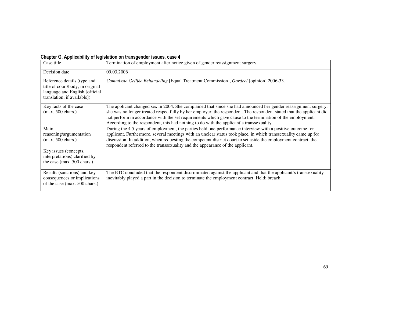| Case title                                                                                                                        | Termination of employment after notice given of gender reassignment surgery.                                                                                                                                                                                                                                                                                                                                                                      |
|-----------------------------------------------------------------------------------------------------------------------------------|---------------------------------------------------------------------------------------------------------------------------------------------------------------------------------------------------------------------------------------------------------------------------------------------------------------------------------------------------------------------------------------------------------------------------------------------------|
| Decision date                                                                                                                     | 09.03.2006                                                                                                                                                                                                                                                                                                                                                                                                                                        |
| Reference details (type and<br>title of court/body; in original<br>language and English [official]<br>translation, if available]) | Commissie Gelijke Behandeling [Equal Treatment Commission], Oordeel [opinion] 2006-33.                                                                                                                                                                                                                                                                                                                                                            |
| Key facts of the case<br>$(max. 500 \text{ chars.})$                                                                              | The applicant changed sex in 2004. She complained that since she had announced her gender reassignment surgery,<br>she was no longer treated respectfully by her employer, the respondent. The respondent stated that the applicant did<br>not perform in accordance with the set requirements which gave cause to the termination of the employment.<br>According to the respondent, this had nothing to do with the applicant's transsexuality. |
| Main<br>reasoning/argumentation<br>$(max. 500 \text{ chars.})$                                                                    | During the 4.5 years of employment, the parties held one performance interview with a positive outcome for<br>applicant. Furthermore, several meetings with an unclear status took place, in which transsexuality came up for<br>discussion. In addition, when requesting the competent district court to set aside the employment contract, the<br>respondent referred to the transsexuality and the appearance of the applicant.                |
| Key issues (concepts,<br>interpretations) clarified by<br>the case (max. 500 chars.)                                              |                                                                                                                                                                                                                                                                                                                                                                                                                                                   |
| Results (sanctions) and key<br>consequences or implications<br>of the case (max. 500 chars.)                                      | The ETC concluded that the respondent discriminated against the applicant and that the applicant's transsexuality<br>inevitably played a part in the decision to terminate the employment contract. Held: breach.                                                                                                                                                                                                                                 |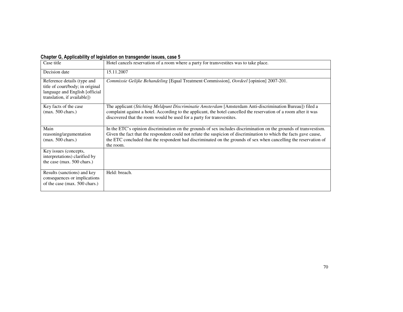| Case title                                                                                                                       | Hotel cancels reservation of a room where a party for transvestites was to take place.                                                                                                                                                                                                                                                                                   |
|----------------------------------------------------------------------------------------------------------------------------------|--------------------------------------------------------------------------------------------------------------------------------------------------------------------------------------------------------------------------------------------------------------------------------------------------------------------------------------------------------------------------|
| Decision date                                                                                                                    | 15.11.2007                                                                                                                                                                                                                                                                                                                                                               |
| Reference details (type and<br>title of court/body; in original<br>language and English [official<br>translation, if available]) | Commissie Gelijke Behandeling [Equal Treatment Commission], Oordeel [opinion] 2007-201.                                                                                                                                                                                                                                                                                  |
| Key facts of the case<br>$(max. 500 \text{ chars.})$                                                                             | The applicant (Stichting Meldpunt Discriminatie Amsterdam [Amsterdam Anti-discrimination Bureau]) filed a<br>complaint against a hotel. According to the applicant, the hotel cancelled the reservation of a room after it was<br>discovered that the room would be used for a party for transvestites.                                                                  |
| Main<br>reasoning/argumentation<br>$(max. 500 \text{ chars.})$                                                                   | In the ETC's opinion discrimination on the grounds of sex includes discrimination on the grounds of transvestism.<br>Given the fact that the respondent could not refute the suspicion of discrimination to which the facts gave cause,<br>the ETC concluded that the respondent had discriminated on the grounds of sex when cancelling the reservation of<br>the room. |
| Key issues (concepts,<br>interpretations) clarified by<br>the case (max. 500 chars.)                                             |                                                                                                                                                                                                                                                                                                                                                                          |
| Results (sanctions) and key<br>consequences or implications<br>of the case (max. 500 chars.)                                     | Held: breach.                                                                                                                                                                                                                                                                                                                                                            |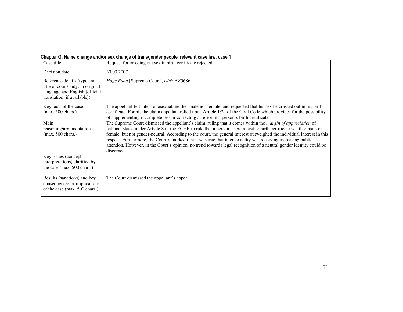#### Chapter G, Name change and/or sex change of transgender people, relevant case law, case 1

| Case title                                                                                                                       | Request for crossing out sex in birth certificate rejected.                                                                                                                                                                                                                                                                                                                                                                                                                                                                                                                                                                     |
|----------------------------------------------------------------------------------------------------------------------------------|---------------------------------------------------------------------------------------------------------------------------------------------------------------------------------------------------------------------------------------------------------------------------------------------------------------------------------------------------------------------------------------------------------------------------------------------------------------------------------------------------------------------------------------------------------------------------------------------------------------------------------|
| Decision date                                                                                                                    | 30.03.2007                                                                                                                                                                                                                                                                                                                                                                                                                                                                                                                                                                                                                      |
| Reference details (type and<br>title of court/body; in original<br>language and English [official<br>translation, if available]) | <i>Hoge Raad</i> [Supreme Court], <i>LJN</i> : AZ5686.                                                                                                                                                                                                                                                                                                                                                                                                                                                                                                                                                                          |
| Key facts of the case<br>$(max. 500 \text{ chars.})$                                                                             | The appellant felt inter- or asexual, neither male nor female, and requested that his sex be crossed out in his birth<br>certificate. For his the claim appellant relied upon Article 1:24 of the Civil Code which provides for the possibility<br>of supplementing incompleteness or correcting an error in a person's birth certificate.                                                                                                                                                                                                                                                                                      |
| Main<br>reasoning/argumentation<br>$(max. 500 \text{ chars.})$                                                                   | The Supreme Court dismissed the appellant's claim, ruling that it comes within the <i>margin of appreciation</i> of<br>national states under Article 8 of the ECHR to rule that a person's sex in his/her birth certificate is either male or<br>female, but not gender-neutral. According to the court, the general interest outweighed the individual interest in this<br>respect. Furthermore, the Court remarked that it was true that intersexuality was receiving increasing public<br>attention. However, in the Court's opinion, no trend towards legal recognition of a neutral gender identity could be<br>discerned. |
| Key issues (concepts,<br>interpretations) clarified by<br>the case (max. 500 chars.)                                             |                                                                                                                                                                                                                                                                                                                                                                                                                                                                                                                                                                                                                                 |
| Results (sanctions) and key<br>consequences or implications<br>of the case (max. 500 chars.)                                     | The Court dismissed the appellant's appeal.                                                                                                                                                                                                                                                                                                                                                                                                                                                                                                                                                                                     |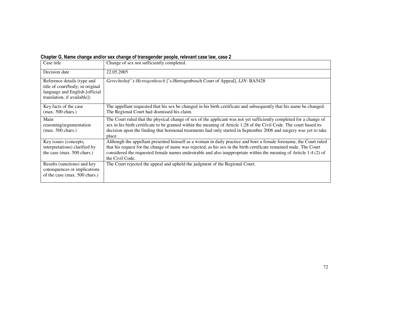#### Chapter G, Name change and/or sex change of transgender people, relevant case law, case 2

| Case title                                                                                                                        | Change of sex not sufficiently completed.                                                                                                                                                                                                                                                                                                                                       |
|-----------------------------------------------------------------------------------------------------------------------------------|---------------------------------------------------------------------------------------------------------------------------------------------------------------------------------------------------------------------------------------------------------------------------------------------------------------------------------------------------------------------------------|
| Decision date                                                                                                                     | 22.05.2005                                                                                                                                                                                                                                                                                                                                                                      |
| Reference details (type and<br>title of court/body; in original<br>language and English [official]<br>translation, if available]) | Gerechtshof 's-Hertogenbosch ['s-Hertogenbosch Court of Appeal], LJN: BA5428                                                                                                                                                                                                                                                                                                    |
| Key facts of the case<br>$(max. 500 \text{ chars.})$                                                                              | The appellant requested that his sex be changed in his birth certificate and subsequently that his name be changed.<br>The Regional Court had dismissed his claim.                                                                                                                                                                                                              |
| Main<br>reasoning/argumentation<br>$(max. 500 \text{ chars.})$                                                                    | The Court ruled that the physical change of sex of the applicant was not yet sufficiently completed for a change of<br>sex in his birth certificate to be granted within the meaning of Article 1:28 of the Civil Code. The court based its<br>decision upon the finding that hormonal treatments had only started in September 2006 and surgery was yet to take<br>place.      |
| Key issues (concepts,<br>interpretations) clarified by<br>the case (max. 500 chars.)                                              | Although the appellant presented himself as a woman in daily practice and bore a female forename, the Court ruled<br>that his request for the change of name was rejected, as his sex in the birth certificate remained male. The Court<br>considered the requested female names undesirable and also inappropriate within the meaning of Article 1:4 (2) of<br>the Civil Code. |
| Results (sanctions) and key<br>consequences or implications<br>of the case (max. 500 chars.)                                      | The Court rejected the appeal and upheld the judgment of the Regional Court.                                                                                                                                                                                                                                                                                                    |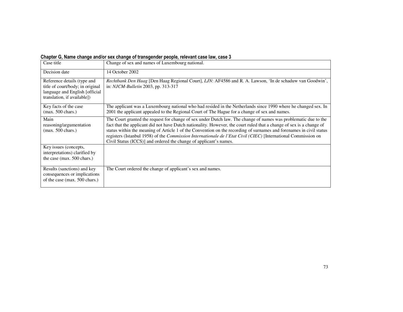# Chapter G, Name change and/or sex change of transgender people, relevant case law, case 3

| Case title                                                                                                                        | Change of sex and names of Luxembourg national.                                                                                                                                                                                                                                                                                                                                                                                                                                                                                                       |
|-----------------------------------------------------------------------------------------------------------------------------------|-------------------------------------------------------------------------------------------------------------------------------------------------------------------------------------------------------------------------------------------------------------------------------------------------------------------------------------------------------------------------------------------------------------------------------------------------------------------------------------------------------------------------------------------------------|
| Decision date                                                                                                                     | 14 October 2002                                                                                                                                                                                                                                                                                                                                                                                                                                                                                                                                       |
| Reference details (type and<br>title of court/body; in original<br>language and English [official]<br>translation, if available]) | Rechtbank Den Haag [Den Haag Regional Court], LJN: AF4586 and R. A. Lawson, 'In de schaduw van Goodwin',<br>in: <i>NJCM-Bulletin</i> 2003, pp. 313-317                                                                                                                                                                                                                                                                                                                                                                                                |
| Key facts of the case<br>$(max. 500 \text{ chars.})$                                                                              | The applicant was a Luxembourg national who had resided in the Netherlands since 1990 where he changed sex. In<br>2001 the applicant appealed to the Regional Court of The Hague for a change of sex and names.                                                                                                                                                                                                                                                                                                                                       |
| Main<br>reasoning/argumentation<br>$(max. 500 \text{ chars.})$                                                                    | The Court granted the request for change of sex under Dutch law. The change of names was problematic due to the<br>fact that the applicant did not have Dutch nationality. However, the court ruled that a change of sex is a change of<br>status within the meaning of Article 1 of the Convention on the recording of surnames and forenames in civil status<br>registers (Istanbul 1958) of the Commission Internationale de l'Etat Civil (CIEC) [International Commission on<br>Civil Status (ICCS)] and ordered the change of applicant's names. |
| Key issues (concepts,<br>interpretations) clarified by<br>the case (max. 500 chars.)                                              |                                                                                                                                                                                                                                                                                                                                                                                                                                                                                                                                                       |
| Results (sanctions) and key<br>consequences or implications<br>of the case (max. 500 chars.)                                      | The Court ordered the change of applicant's sex and names.                                                                                                                                                                                                                                                                                                                                                                                                                                                                                            |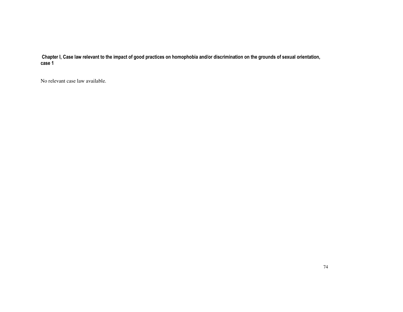Chapter I, Case law relevant to the impact of good practices on homophobia and/or discrimination on the grounds of sexual orientation, case 1

No relevant case law available.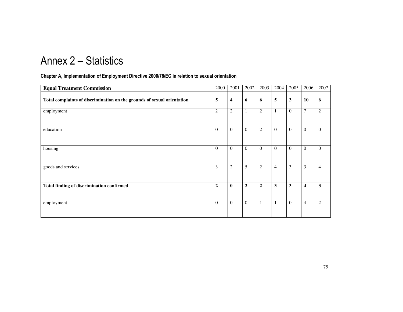# Annex 2 – Statistics

## Chapter A, Implementation of Employment Directive 2000/78/EC in relation to sexual orientation

| <b>Equal Treatment Commission</b>                                       | 2000           | 2001           | 2002           | 2003           | 2004           | 2005             | 2006                    | 2007           |
|-------------------------------------------------------------------------|----------------|----------------|----------------|----------------|----------------|------------------|-------------------------|----------------|
| Total complaints of discrimination on the grounds of sexual orientation | 5              | 4              | 6              | 6              | 5              | 3                | 10                      | 6              |
| employment                                                              | $\overline{2}$ | $\overline{c}$ | 1              | $\overline{2}$ | $\mathbf{1}$   | $\boldsymbol{0}$ | $\overline{7}$          | $\overline{2}$ |
| education                                                               | $\theta$       | $\theta$       | $\theta$       | $\overline{2}$ | $\Omega$       | $\overline{0}$   | $\Omega$                | $\mathbf{0}$   |
| housing                                                                 | $\theta$       | $\overline{0}$ | $\theta$       | $\overline{0}$ | $\mathbf{0}$   | $\mathbf{0}$     | $\mathbf{0}$            | $\overline{0}$ |
| goods and services                                                      | 3              | $\overline{c}$ | 5              | $\mathfrak{2}$ | $\overline{4}$ | 3                | 3                       | $\overline{4}$ |
| Total finding of discrimination confirmed                               | $\overline{2}$ | $\mathbf{0}$   | $\overline{2}$ | $\overline{2}$ | 3              | 3                | $\overline{\mathbf{4}}$ | $\mathbf{3}$   |
| employment                                                              | $\theta$       | $\theta$       | $\theta$       | $\mathbf{1}$   | $\mathbf{1}$   | $\overline{0}$   | $\overline{4}$          | 2              |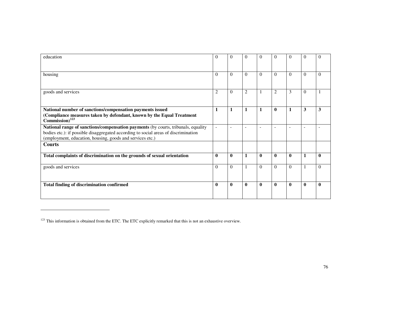| education                                                                                                                                                                                                                             | $\theta$                 | $\Omega$                 | $\Omega$                 | 0                        | $\Omega$                 | $\Omega$                 | $\Omega$                 | $\Omega$     |
|---------------------------------------------------------------------------------------------------------------------------------------------------------------------------------------------------------------------------------------|--------------------------|--------------------------|--------------------------|--------------------------|--------------------------|--------------------------|--------------------------|--------------|
| housing                                                                                                                                                                                                                               | $\Omega$                 | $\Omega$                 | $\Omega$                 | $\Omega$                 | $\Omega$                 | $\Omega$                 | $\Omega$                 | $\Omega$     |
|                                                                                                                                                                                                                                       |                          |                          |                          |                          |                          |                          |                          |              |
| goods and services                                                                                                                                                                                                                    | $\overline{2}$           | $\Omega$                 | $\overline{2}$           |                          | $\overline{2}$           | 3                        | $\Omega$                 |              |
| National number of sanctions/compensation payments issued<br>(Compliance measures taken by defendant, known by the Equal Treatment<br>$Commission)$ <sup>123</sup>                                                                    | $\mathbf{1}$             | 1                        | 1                        |                          | $\mathbf{0}$             | $\mathbf{1}$             | 3                        | 3            |
| National range of sanctions/compensation payments (by courts, tribunals, equality<br>bodies etc.): if possible disaggregated according to social areas of discrimination<br>(employment, education, housing, goods and services etc.) | $\overline{\phantom{a}}$ | $\overline{\phantom{a}}$ | $\overline{\phantom{a}}$ | $\overline{\phantom{a}}$ | $\overline{\phantom{a}}$ | $\overline{\phantom{a}}$ | $\overline{\phantom{a}}$ |              |
| <b>Courts</b>                                                                                                                                                                                                                         |                          |                          |                          |                          |                          |                          |                          |              |
| Total complaints of discrimination on the grounds of sexual orientation                                                                                                                                                               | $\mathbf{0}$             | $\bf{0}$                 | 1                        | $\mathbf{0}$             | $\mathbf{0}$             | $\mathbf{0}$             | $\mathbf{1}$             | $\mathbf{0}$ |
| goods and services                                                                                                                                                                                                                    | $\Omega$                 | $\Omega$                 |                          | $\Omega$                 | $\Omega$                 | $\Omega$                 | 1                        | $\Omega$     |
| <b>Total finding of discrimination confirmed</b>                                                                                                                                                                                      | $\mathbf{0}$             | $\mathbf{0}$             | $\mathbf{0}$             | $\mathbf{0}$             | $\mathbf{0}$             | $\mathbf{0}$             | $\mathbf{0}$             | $\mathbf{0}$ |

<sup>&</sup>lt;sup>123</sup> This information is obtained from the ETC. The ETC explicitly remarked that this is not an exhaustive overview.